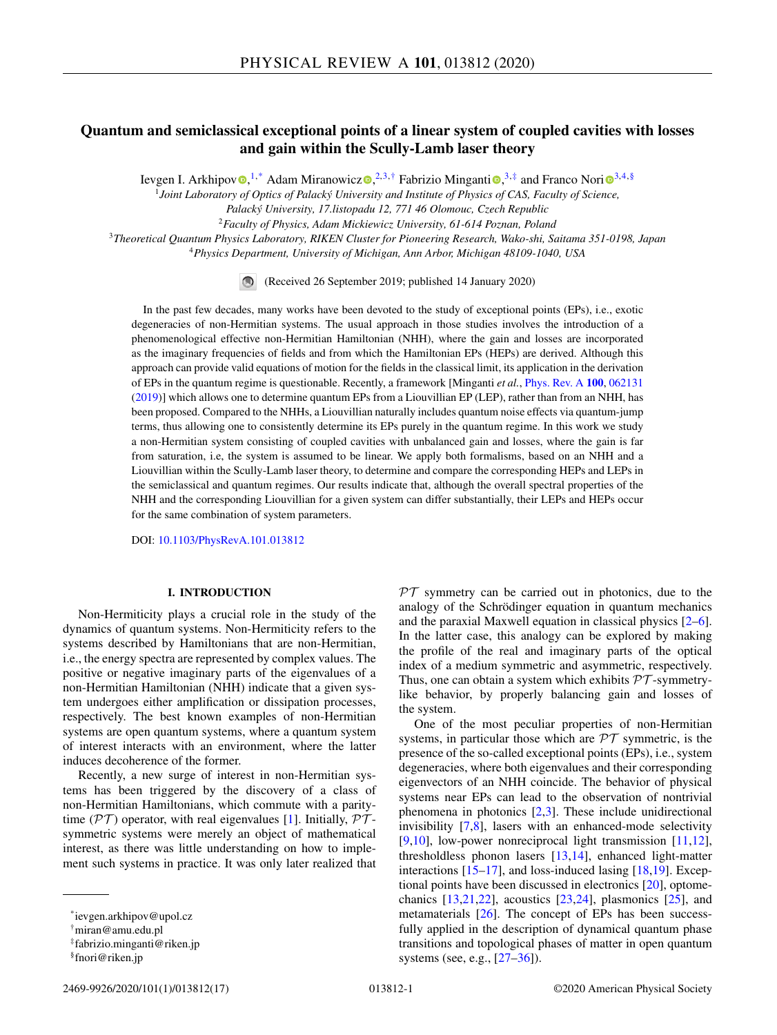# **Quantum and semiclassical exceptional points of a linear system of coupled cavities with losses and gain within the Scully-Lamb laser theory**

Ie[v](https://orcid.org/0000-0001-6547-8855)gen I. Arkh[i](https://orcid.org/0000-0003-4850-1130)pov $\bigcirc$ ,<sup>1,\*</sup> Adam Miranowic[z](https://orcid.org/0000-0002-8222-9268) $\bigcirc$ ,<sup>2,[3](https://orcid.org/0000-0003-3682-7432),†</sup> Fabrizio Minganti $\bigcirc$ ,<sup>3,‡</sup> and Franco Nori $\bigcirc$ <sup>3,4,§</sup>

<sup>1</sup>*Joint Laboratory of Optics of Palacký University and Institute of Physics of CAS, Faculty of Science,*

*Palacký University, 17.listopadu 12, 771 46 Olomouc, Czech Republic*

<sup>2</sup>*Faculty of Physics, Adam Mickiewicz University, 61-614 Poznan, Poland*

<sup>3</sup>*Theoretical Quantum Physics Laboratory, RIKEN Cluster for Pioneering Research, Wako-shi, Saitama 351-0198, Japan*

<sup>4</sup>*Physics Department, University of Michigan, Ann Arbor, Michigan 48109-1040, USA*

(Received 26 September 2019; published 14 January 2020)

In the past few decades, many works have been devoted to the study of exceptional points (EPs), i.e., exotic degeneracies of non-Hermitian systems. The usual approach in those studies involves the introduction of a phenomenological effective non-Hermitian Hamiltonian (NHH), where the gain and losses are incorporated as the imaginary frequencies of fields and from which the Hamiltonian EPs (HEPs) are derived. Although this approach can provide valid equations of motion for the fields in the classical limit, its application in the derivation of EPs in the quantum regime is questionable. Recently, a framework [Minganti *et al.*, [Phys. Rev. A](https://doi.org/10.1103/PhysRevA.100.062131) **[100](https://doi.org/10.1103/PhysRevA.100.062131)**, [062131](https://doi.org/10.1103/PhysRevA.100.062131) [\(2019\)](https://doi.org/10.1103/PhysRevA.100.062131)] which allows one to determine quantum EPs from a Liouvillian EP (LEP), rather than from an NHH, has been proposed. Compared to the NHHs, a Liouvillian naturally includes quantum noise effects via quantum-jump terms, thus allowing one to consistently determine its EPs purely in the quantum regime. In this work we study a non-Hermitian system consisting of coupled cavities with unbalanced gain and losses, where the gain is far from saturation, i.e, the system is assumed to be linear. We apply both formalisms, based on an NHH and a Liouvillian within the Scully-Lamb laser theory, to determine and compare the corresponding HEPs and LEPs in the semiclassical and quantum regimes. Our results indicate that, although the overall spectral properties of the NHH and the corresponding Liouvillian for a given system can differ substantially, their LEPs and HEPs occur for the same combination of system parameters.

DOI: [10.1103/PhysRevA.101.013812](https://doi.org/10.1103/PhysRevA.101.013812)

## **I. INTRODUCTION**

Non-Hermiticity plays a crucial role in the study of the dynamics of quantum systems. Non-Hermiticity refers to the systems described by Hamiltonians that are non-Hermitian, i.e., the energy spectra are represented by complex values. The positive or negative imaginary parts of the eigenvalues of a non-Hermitian Hamiltonian (NHH) indicate that a given system undergoes either amplification or dissipation processes, respectively. The best known examples of non-Hermitian systems are open quantum systems, where a quantum system of interest interacts with an environment, where the latter induces decoherence of the former.

Recently, a new surge of interest in non-Hermitian systems has been triggered by the discovery of a class of non-Hermitian Hamiltonians, which commute with a paritytime ( $\mathcal{PT}$ ) operator, with real eigenvalues [\[1\]](#page-14-0). Initially,  $\mathcal{PT}$ symmetric systems were merely an object of mathematical interest, as there was little understanding on how to implement such systems in practice. It was only later realized that

 $PT$  symmetry can be carried out in photonics, due to the analogy of the Schrödinger equation in quantum mechanics and the paraxial Maxwell equation in classical physics [\[2–6\]](#page-14-0). In the latter case, this analogy can be explored by making the profile of the real and imaginary parts of the optical index of a medium symmetric and asymmetric, respectively. Thus, one can obtain a system which exhibits  $\mathcal{PT}$ -symmetrylike behavior, by properly balancing gain and losses of the system.

One of the most peculiar properties of non-Hermitian systems, in particular those which are  $\mathcal{PT}$  symmetric, is the presence of the so-called exceptional points (EPs), i.e., system degeneracies, where both eigenvalues and their corresponding eigenvectors of an NHH coincide. The behavior of physical systems near EPs can lead to the observation of nontrivial phenomena in photonics [\[2,3\]](#page-14-0). These include unidirectional invisibility [\[7,8\]](#page-14-0), lasers with an enhanced-mode selectivity [\[9,10\]](#page-14-0), low-power nonreciprocal light transmission [\[11,12\]](#page-14-0), thresholdless phonon lasers [\[13,14\]](#page-14-0), enhanced light-matter interactions  $[15-17]$ , and loss-induced lasing  $[18,19]$ . Exceptional points have been discussed in electronics [\[20\]](#page-14-0), optomechanics  $[13,21,22]$ , acoustics  $[23,24]$ , plasmonics  $[25]$ , and metamaterials [\[26\]](#page-15-0). The concept of EPs has been successfully applied in the description of dynamical quantum phase transitions and topological phases of matter in open quantum systems (see, e.g., [\[27–36\]](#page-15-0)).

<sup>\*</sup>ievgen.arkhipov@upol.cz

<sup>†</sup>miran@amu.edu.pl

<sup>‡</sup>fabrizio.minganti@riken.jp

<sup>§</sup>fnori@riken.jp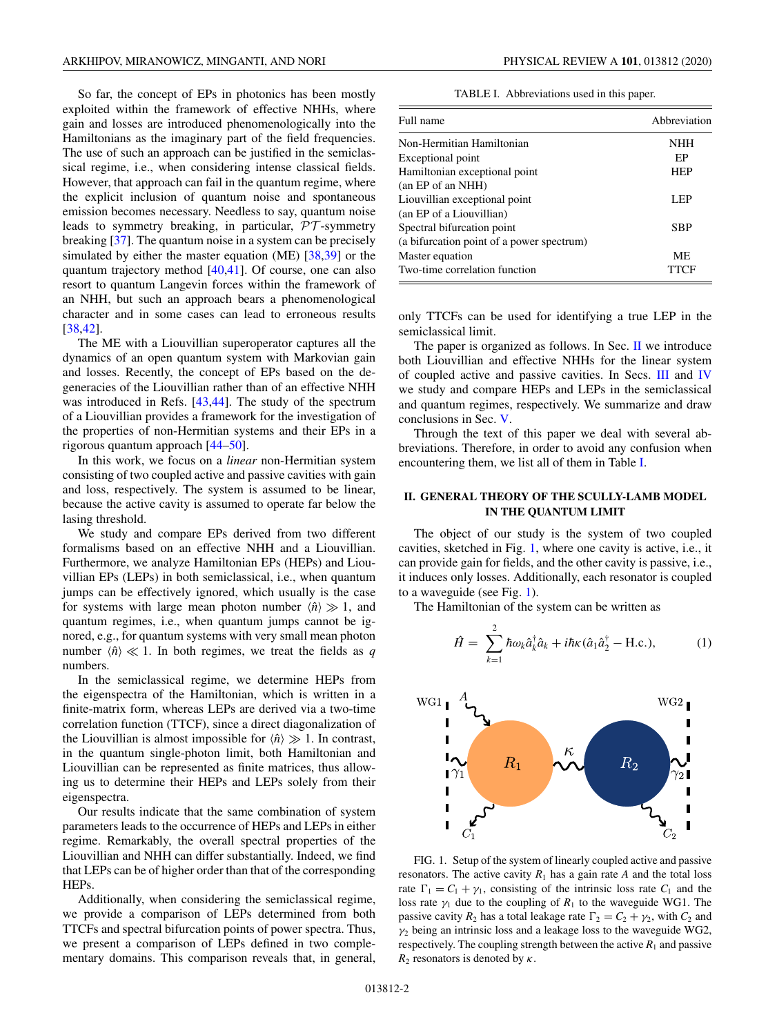<span id="page-1-0"></span>So far, the concept of EPs in photonics has been mostly exploited within the framework of effective NHHs, where gain and losses are introduced phenomenologically into the Hamiltonians as the imaginary part of the field frequencies. The use of such an approach can be justified in the semiclassical regime, i.e., when considering intense classical fields. However, that approach can fail in the quantum regime, where the explicit inclusion of quantum noise and spontaneous emission becomes necessary. Needless to say, quantum noise leads to symmetry breaking, in particular, PT -symmetry breaking [\[37\]](#page-15-0). The quantum noise in a system can be precisely simulated by either the master equation (ME) [\[38,39\]](#page-15-0) or the quantum trajectory method [\[40,41\]](#page-15-0). Of course, one can also resort to quantum Langevin forces within the framework of an NHH, but such an approach bears a phenomenological character and in some cases can lead to erroneous results [\[38,42\]](#page-15-0).

The ME with a Liouvillian superoperator captures all the dynamics of an open quantum system with Markovian gain and losses. Recently, the concept of EPs based on the degeneracies of the Liouvillian rather than of an effective NHH was introduced in Refs. [\[43,44\]](#page-15-0). The study of the spectrum of a Liouvillian provides a framework for the investigation of the properties of non-Hermitian systems and their EPs in a rigorous quantum approach [\[44–50\]](#page-15-0).

In this work, we focus on a *linear* non-Hermitian system consisting of two coupled active and passive cavities with gain and loss, respectively. The system is assumed to be linear, because the active cavity is assumed to operate far below the lasing threshold.

We study and compare EPs derived from two different formalisms based on an effective NHH and a Liouvillian. Furthermore, we analyze Hamiltonian EPs (HEPs) and Liouvillian EPs (LEPs) in both semiclassical, i.e., when quantum jumps can be effectively ignored, which usually is the case for systems with large mean photon number  $\langle \hat{n} \rangle \gg 1$ , and quantum regimes, i.e., when quantum jumps cannot be ignored, e.g., for quantum systems with very small mean photon number  $\langle \hat{n} \rangle \ll 1$ . In both regimes, we treat the fields as *q* numbers.

In the semiclassical regime, we determine HEPs from the eigenspectra of the Hamiltonian, which is written in a finite-matrix form, whereas LEPs are derived via a two-time correlation function (TTCF), since a direct diagonalization of the Liouvillian is almost impossible for  $\langle \hat{n} \rangle \gg 1$ . In contrast, in the quantum single-photon limit, both Hamiltonian and Liouvillian can be represented as finite matrices, thus allowing us to determine their HEPs and LEPs solely from their eigenspectra.

Our results indicate that the same combination of system parameters leads to the occurrence of HEPs and LEPs in either regime. Remarkably, the overall spectral properties of the Liouvillian and NHH can differ substantially. Indeed, we find that LEPs can be of higher order than that of the corresponding HEPs.

Additionally, when considering the semiclassical regime, we provide a comparison of LEPs determined from both TTCFs and spectral bifurcation points of power spectra. Thus, we present a comparison of LEPs defined in two complementary domains. This comparison reveals that, in general,

|  | TABLE I. Abbreviations used in this paper. |  |  |  |
|--|--------------------------------------------|--|--|--|
|--|--------------------------------------------|--|--|--|

| Full name                                 | Abbreviation |  |
|-------------------------------------------|--------------|--|
| Non-Hermitian Hamiltonian                 | <b>NHH</b>   |  |
| Exceptional point                         | EP           |  |
| Hamiltonian exceptional point             | <b>HEP</b>   |  |
| (an EP of an NHH)                         |              |  |
| Liouvillian exceptional point             | LEP          |  |
| (an EP of a Liouvillian)                  |              |  |
| Spectral bifurcation point                | <b>SBP</b>   |  |
| (a bifurcation point of a power spectrum) |              |  |
| Master equation                           | <b>ME</b>    |  |
| Two-time correlation function             | TTCF         |  |

only TTCFs can be used for identifying a true LEP in the semiclassical limit.

The paper is organized as follows. In Sec.  $\mathbf{I}$  we introduce both Liouvillian and effective NHHs for the linear system of coupled active and passive cavities. In Secs. [III](#page-4-0) and [IV](#page-8-0) we study and compare HEPs and LEPs in the semiclassical and quantum regimes, respectively. We summarize and draw conclusions in Sec. [V.](#page-11-0)

Through the text of this paper we deal with several abbreviations. Therefore, in order to avoid any confusion when encountering them, we list all of them in Table I.

## **II. GENERAL THEORY OF THE SCULLY-LAMB MODEL IN THE QUANTUM LIMIT**

The object of our study is the system of two coupled cavities, sketched in Fig. 1, where one cavity is active, i.e., it can provide gain for fields, and the other cavity is passive, i.e., it induces only losses. Additionally, each resonator is coupled to a waveguide (see Fig. 1).

The Hamiltonian of the system can be written as

$$
\hat{H} = \sum_{k=1}^{2} \hbar \omega_k \hat{a}_k^{\dagger} \hat{a}_k + i \hbar \kappa (\hat{a}_1 \hat{a}_2^{\dagger} - \text{H.c.}), \tag{1}
$$



FIG. 1. Setup of the system of linearly coupled active and passive resonators. The active cavity  $R_1$  has a gain rate  $A$  and the total loss rate  $\Gamma_1 = C_1 + \gamma_1$ , consisting of the intrinsic loss rate  $C_1$  and the loss rate  $\gamma_1$  due to the coupling of  $R_1$  to the waveguide WG1. The passive cavity  $R_2$  has a total leakage rate  $\Gamma_2 = C_2 + \gamma_2$ , with  $C_2$  and  $\gamma_2$  being an intrinsic loss and a leakage loss to the waveguide WG2, respectively. The coupling strength between the active  $R_1$  and passive  $R_2$  resonators is denoted by  $\kappa$ .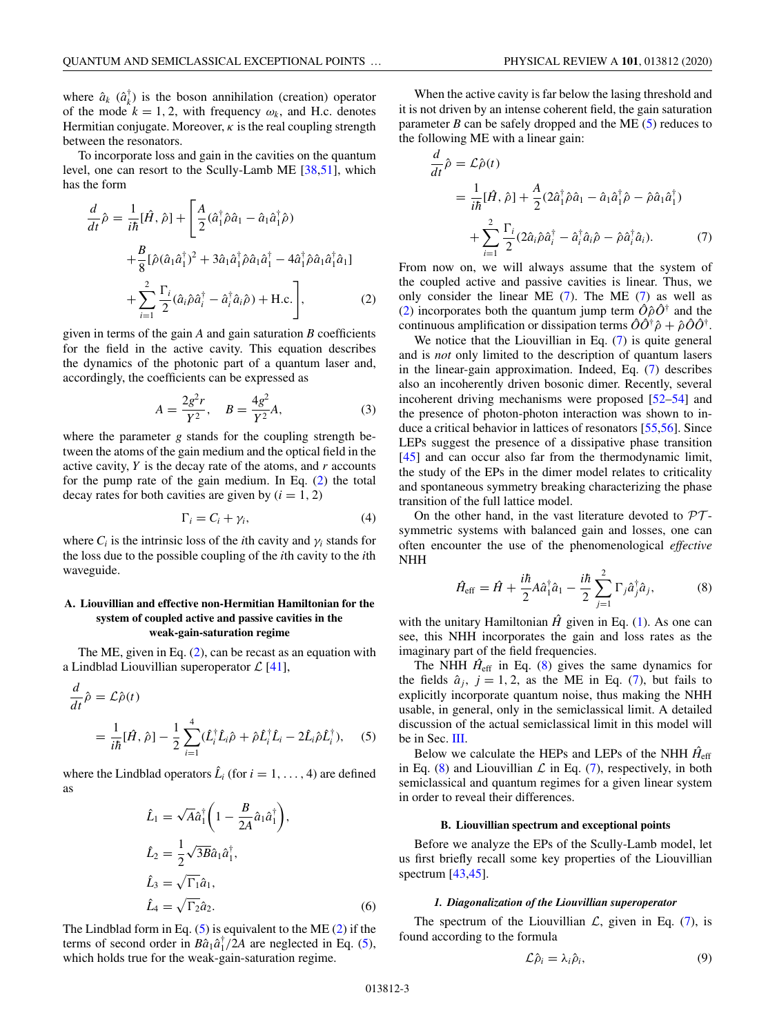<span id="page-2-0"></span>where  $\hat{a}_k$  ( $\hat{a}_k^{\dagger}$ ) is the boson annihilation (creation) operator of the mode  $k = 1, 2$ , with frequency  $\omega_k$ , and H.c. denotes Hermitian conjugate. Moreover,  $\kappa$  is the real coupling strength between the resonators.

To incorporate loss and gain in the cavities on the quantum level, one can resort to the Scully-Lamb ME [\[38,51\]](#page-15-0), which has the form

$$
\frac{d}{dt}\hat{\rho} = \frac{1}{i\hbar}[\hat{H}, \hat{\rho}] + \left[\frac{A}{2}(\hat{a}_{1}^{\dagger}\hat{\rho}\hat{a}_{1} - \hat{a}_{1}\hat{a}_{1}^{\dagger}\hat{\rho}) + \frac{B}{8}[\hat{\rho}(\hat{a}_{1}\hat{a}_{1}^{\dagger})^{2} + 3\hat{a}_{1}\hat{a}_{1}^{\dagger}\hat{\rho}\hat{a}_{1}\hat{a}_{1}^{\dagger} - 4\hat{a}_{1}^{\dagger}\hat{\rho}\hat{a}_{1}\hat{a}_{1}^{\dagger}\hat{a}_{1}] + \sum_{i=1}^{2} \frac{\Gamma_{i}}{2}(\hat{a}_{i}\hat{\rho}\hat{a}_{i}^{\dagger} - \hat{a}_{i}^{\dagger}\hat{a}_{i}\hat{\rho}) + \text{H.c.}\right],
$$
\n(2)

given in terms of the gain *A* and gain saturation *B* coefficients for the field in the active cavity. This equation describes the dynamics of the photonic part of a quantum laser and, accordingly, the coefficients can be expressed as

$$
A = \frac{2g^2r}{Y^2}, \quad B = \frac{4g^2}{Y^2}A,\tag{3}
$$

where the parameter *g* stands for the coupling strength between the atoms of the gain medium and the optical field in the active cavity, *Y* is the decay rate of the atoms, and *r* accounts for the pump rate of the gain medium. In Eq. (2) the total decay rates for both cavities are given by  $(i = 1, 2)$ 

$$
\Gamma_i = C_i + \gamma_i,\tag{4}
$$

where  $C_i$  is the intrinsic loss of the *i*th cavity and  $\gamma_i$  stands for the loss due to the possible coupling of the *i*th cavity to the *i*th waveguide.

## **A. Liouvillian and effective non-Hermitian Hamiltonian for the system of coupled active and passive cavities in the weak-gain-saturation regime**

The ME, given in Eq. (2), can be recast as an equation with a Lindblad Liouvillian superoperator  $\mathcal{L}$  [\[41\]](#page-15-0),

$$
\frac{d}{dt}\hat{\rho} = \mathcal{L}\hat{\rho}(t)
$$
\n
$$
= \frac{1}{i\hbar}[\hat{H}, \hat{\rho}] - \frac{1}{2} \sum_{i=1}^{4} (\hat{L}_i^{\dagger} \hat{L}_i \hat{\rho} + \hat{\rho} \hat{L}_i^{\dagger} \hat{L}_i - 2\hat{L}_i \hat{\rho} \hat{L}_i^{\dagger}), \quad (5)
$$

where the Lindblad operators  $\hat{L}_i$  (for  $i = 1, \ldots, 4$ ) are defined as

$$
\hat{L}_1 = \sqrt{A}\hat{a}_1^{\dagger} \left( 1 - \frac{B}{2A} \hat{a}_1 \hat{a}_1^{\dagger} \right),
$$
  
\n
$$
\hat{L}_2 = \frac{1}{2} \sqrt{3B} \hat{a}_1 \hat{a}_1^{\dagger},
$$
  
\n
$$
\hat{L}_3 = \sqrt{\Gamma_1} \hat{a}_1,
$$
  
\n
$$
\hat{L}_4 = \sqrt{\Gamma_2} \hat{a}_2.
$$
\n(6)

The Lindblad form in Eq.  $(5)$  is equivalent to the ME  $(2)$  if the terms of second order in  $B\hat{a}_1 \hat{a}_1^{\dagger}/2A$  are neglected in Eq. (5), which holds true for the weak-gain-saturation regime.

When the active cavity is far below the lasing threshold and it is not driven by an intense coherent field, the gain saturation parameter  $B$  can be safely dropped and the ME  $(5)$  reduces to the following ME with a linear gain:

$$
\frac{d}{dt}\hat{\rho} = \mathcal{L}\hat{\rho}(t)
$$
\n
$$
= \frac{1}{i\hbar}[\hat{H}, \hat{\rho}] + \frac{A}{2}(2\hat{a}_{1}^{\dagger}\hat{\rho}\hat{a}_{1} - \hat{a}_{1}\hat{a}_{1}^{\dagger}\hat{\rho} - \hat{\rho}\hat{a}_{1}\hat{a}_{1}^{\dagger})
$$
\n
$$
+ \sum_{i=1}^{2} \frac{\Gamma_{i}}{2}(2\hat{a}_{i}\hat{\rho}\hat{a}_{i}^{\dagger} - \hat{a}_{i}^{\dagger}\hat{a}_{i}\hat{\rho} - \hat{\rho}\hat{a}_{i}^{\dagger}\hat{a}_{i}). \tag{7}
$$

From now on, we will always assume that the system of the coupled active and passive cavities is linear. Thus, we only consider the linear ME (7). The ME (7) as well as (2) incorporates both the quantum jump term  $\hat{O}\hat{\rho}\hat{O}^{\dagger}$  and the continuous amplification or dissipation terms  $\hat{O}\hat{O}^{\dagger}\hat{\rho} + \hat{\rho}\hat{O}\hat{O}^{\dagger}$ .

We notice that the Liouvillian in Eq. (7) is quite general and is *not* only limited to the description of quantum lasers in the linear-gain approximation. Indeed, Eq. (7) describes also an incoherently driven bosonic dimer. Recently, several incoherent driving mechanisms were proposed [\[52–54\]](#page-15-0) and the presence of photon-photon interaction was shown to induce a critical behavior in lattices of resonators [\[55,56\]](#page-15-0). Since LEPs suggest the presence of a dissipative phase transition [\[45\]](#page-15-0) and can occur also far from the thermodynamic limit, the study of the EPs in the dimer model relates to criticality and spontaneous symmetry breaking characterizing the phase transition of the full lattice model.

On the other hand, in the vast literature devoted to  $\mathcal{PT}$ symmetric systems with balanced gain and losses, one can often encounter the use of the phenomenological *effective* NHH

$$
\hat{H}_{\rm eff} = \hat{H} + \frac{i\hbar}{2} A \hat{a}_1^{\dagger} \hat{a}_1 - \frac{i\hbar}{2} \sum_{j=1}^{2} \Gamma_j \hat{a}_j^{\dagger} \hat{a}_j, \tag{8}
$$

with the unitary Hamiltonian  $\hat{H}$  given in Eq. [\(1\)](#page-1-0). As one can see, this NHH incorporates the gain and loss rates as the imaginary part of the field frequencies.

The NHH  $\hat{H}_{\text{eff}}$  in Eq. (8) gives the same dynamics for the fields  $\hat{a}_j$ ,  $j = 1, 2$ , as the ME in Eq. (7), but fails to explicitly incorporate quantum noise, thus making the NHH usable, in general, only in the semiclassical limit. A detailed discussion of the actual semiclassical limit in this model will be in Sec. [III.](#page-4-0)

Below we calculate the HEPs and LEPs of the NHH  $\hat{H}_{\text{eff}}$ in Eq. (8) and Liouvillian  $\mathcal L$  in Eq. (7), respectively, in both semiclassical and quantum regimes for a given linear system in order to reveal their differences.

## **B. Liouvillian spectrum and exceptional points**

Before we analyze the EPs of the Scully-Lamb model, let us first briefly recall some key properties of the Liouvillian spectrum [\[43,45\]](#page-15-0).

## *1. Diagonalization of the Liouvillian superoperator*

The spectrum of the Liouvillian  $\mathcal{L}$ , given in Eq. (7), is found according to the formula

$$
\mathcal{L}\hat{\rho}_i = \lambda_i \hat{\rho}_i,\tag{9}
$$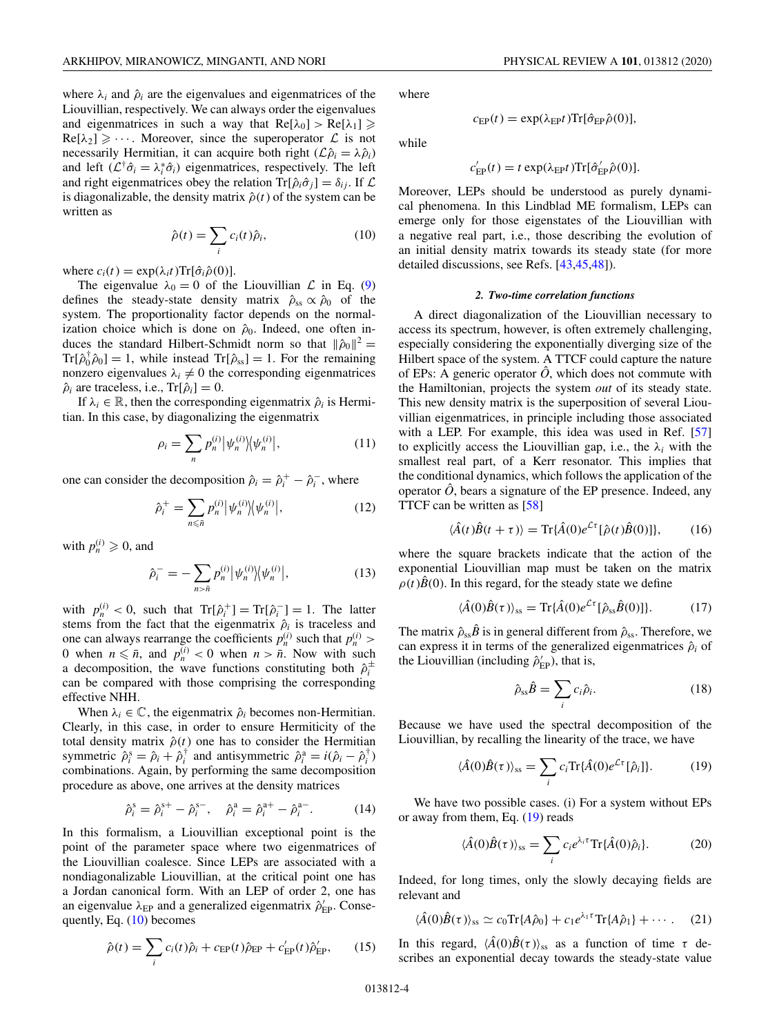<span id="page-3-0"></span>where  $\lambda_i$  and  $\hat{\rho}_i$  are the eigenvalues and eigenmatrices of the Liouvillian, respectively. We can always order the eigenvalues and eigenmatrices in such a way that  $Re[\lambda_0] > Re[\lambda_1] \ge$  $\text{Re}[\lambda_2] \geqslant \cdots$ . Moreover, since the superoperator  $\mathcal{L}$  is not necessarily Hermitian, it can acquire both right  $(\mathcal{L}\hat{\rho}_i = \lambda \hat{\rho}_i)$ and left  $(L^{\dagger} \hat{\sigma}_i = \lambda_i^* \hat{\sigma}_i)$  eigenmatrices, respectively. The left and right eigenmatrices obey the relation  $\text{Tr}[\hat{\rho}_i \hat{\sigma}_j] = \delta_{ij}$ . If  $\mathcal{L}$ is diagonalizable, the density matrix  $\hat{\rho}(t)$  of the system can be written as

$$
\hat{\rho}(t) = \sum_{i} c_i(t)\hat{\rho}_i, \tag{10}
$$

where  $c_i(t) = \exp(\lambda_i t) \text{Tr}[\hat{\sigma}_i \hat{\rho}(0)].$ 

The eigenvalue  $\lambda_0 = 0$  of the Liouvillian  $\mathcal L$  in Eq. [\(9\)](#page-2-0) defines the steady-state density matrix  $\hat{\rho}_{ss} \propto \hat{\rho}_0$  of the system. The proportionality factor depends on the normalization choice which is done on  $\hat{\rho}_0$ . Indeed, one often induces the standard Hilbert-Schmidt norm so that  $\|\hat{\rho}_0\|^2$  =  $Tr[\hat{\rho}_0^{\dagger} \hat{\rho}_0] = 1$ , while instead  $Tr[\hat{\rho}_{ss}] = 1$ . For the remaining nonzero eigenvalues  $\lambda_i \neq 0$  the corresponding eigenmatrices  $\hat{\rho}_i$  are traceless, i.e., Tr[ $\hat{\rho}_i$ ] = 0.

If  $\lambda_i \in \mathbb{R}$ , then the corresponding eigenmatrix  $\hat{\rho}_i$  is Hermitian. In this case, by diagonalizing the eigenmatrix

$$
\rho_i = \sum_n p_n^{(i)} \left| \psi_n^{(i)} \right| \left\langle \psi_n^{(i)} \right|,\tag{11}
$$

one can consider the decomposition  $\hat{\rho}_i = \hat{\rho}_i^+ - \hat{\rho}_i^-$ , where

$$
\hat{\rho}_i^+ = \sum_{n \leq \bar{n}} p_n^{(i)} \left| \psi_n^{(i)} \right| \left\langle \psi_n^{(i)} \right|,\tag{12}
$$

with  $p_n^{(i)} \geqslant 0$ , and

$$
\hat{\rho}_i^- = -\sum_{n>\bar{n}} p_n^{(i)} |\psi_n^{(i)}\rangle \langle \psi_n^{(i)}|,\tag{13}
$$

with  $p_n^{(i)} < 0$ , such that  $\text{Tr}[\hat{\rho}_i^+] = \text{Tr}[\hat{\rho}_i^-] = 1$ . The latter stems from the fact that the eigenmatrix  $\hat{\rho}_i$  is traceless and one can always rearrange the coefficients  $p_n^{(i)}$  such that  $p_n^{(i)}$  > 0 when  $n \leq \bar{n}$ , and  $p_n^{(i)} < 0$  when  $n > \bar{n}$ . Now with such a decomposition, the wave functions constituting both  $\hat{\rho}_i^{\pm}$ can be compared with those comprising the corresponding effective NHH.

When  $\lambda_i \in \mathbb{C}$ , the eigenmatrix  $\hat{\rho}_i$  becomes non-Hermitian. Clearly, in this case, in order to ensure Hermiticity of the total density matrix  $\hat{\rho}(t)$  one has to consider the Hermitian symmetric  $\hat{\rho}_i^s = \hat{\rho}_i + \hat{\rho}_i^{\dagger}$  and antisymmetric  $\hat{\rho}_i^a = i(\hat{\rho}_i - \hat{\rho}_i^{\dagger})$ combinations. Again, by performing the same decomposition procedure as above, one arrives at the density matrices

$$
\hat{\rho}_i^s = \hat{\rho}_i^{s+} - \hat{\rho}_i^{s-}, \quad \hat{\rho}_i^a = \hat{\rho}_i^{a+} - \hat{\rho}_i^{a-}.
$$
 (14)

In this formalism, a Liouvillian exceptional point is the point of the parameter space where two eigenmatrices of the Liouvillian coalesce. Since LEPs are associated with a nondiagonalizable Liouvillian, at the critical point one has a Jordan canonical form. With an LEP of order 2, one has an eigenvalue  $\lambda_{EP}$  and a generalized eigenmatrix  $\hat{\rho}'_{EP}$ . Consequently, Eq. (10) becomes

$$
\hat{\rho}(t) = \sum_{i} c_i(t)\hat{\rho}_i + c_{\rm EP}(t)\hat{\rho}_{\rm EP} + c_{\rm EP}'(t)\hat{\rho}_{\rm EP}',\qquad(15)
$$

where

while

$$
c'_{\rm EP}(t) = t \exp(\lambda_{\rm EP} t) {\rm Tr}[\hat{\sigma}'_{\rm EP} \hat{\rho}(0)].
$$

 $c_{\text{EP}}(t) = \exp(\lambda_{\text{EP}} t) \text{Tr}[\hat{\sigma}_{\text{EP}} \hat{\rho}(0)],$ 

Moreover, LEPs should be understood as purely dynamical phenomena. In this Lindblad ME formalism, LEPs can emerge only for those eigenstates of the Liouvillian with a negative real part, i.e., those describing the evolution of an initial density matrix towards its steady state (for more detailed discussions, see Refs. [\[43,45,48\]](#page-15-0)).

#### *2. Two-time correlation functions*

A direct diagonalization of the Liouvillian necessary to access its spectrum, however, is often extremely challenging, especially considering the exponentially diverging size of the Hilbert space of the system. A TTCF could capture the nature of EPs: A generic operator  $\hat{O}$ , which does not commute with the Hamiltonian, projects the system *out* of its steady state. This new density matrix is the superposition of several Liouvillian eigenmatrices, in principle including those associated with a LEP. For example, this idea was used in Ref. [\[57\]](#page-15-0) to explicitly access the Liouvillian gap, i.e., the  $\lambda_i$  with the smallest real part, of a Kerr resonator. This implies that the conditional dynamics, which follows the application of the operator  $\hat{O}$ , bears a signature of the EP presence. Indeed, any TTCF can be written as [\[58\]](#page-15-0)

$$
\langle \hat{A}(t)\hat{B}(t+\tau) \rangle = \text{Tr}\{\hat{A}(0)e^{\mathcal{L}\tau}[\hat{\rho}(t)\hat{B}(0)]\},\tag{16}
$$

where the square brackets indicate that the action of the exponential Liouvillian map must be taken on the matrix  $\rho(t)$  $\hat{B}(0)$ . In this regard, for the steady state we define

$$
\langle \hat{A}(0)\hat{B}(\tau) \rangle_{\rm ss} = \text{Tr}\{\hat{A}(0)e^{\mathcal{L}\tau}[\hat{\rho}_{\rm ss}\hat{B}(0)]\}.
$$
 (17)

The matrix  $\hat{\rho}_{ss}\hat{B}$  is in general different from  $\hat{\rho}_{ss}$ . Therefore, we can express it in terms of the generalized eigenmatrices  $\hat{\rho}_i$  of the Liouvillian (including  $\hat{\rho}_{EP}^{\prime}$ ), that is,

$$
\hat{\rho}_{ss}\hat{B} = \sum_{i} c_i \hat{\rho}_i. \tag{18}
$$

Because we have used the spectral decomposition of the Liouvillian, by recalling the linearity of the trace, we have

$$
\langle \hat{A}(0)\hat{B}(\tau)\rangle_{\rm ss} = \sum_{i} c_i \text{Tr}\{\hat{A}(0)e^{\mathcal{L}\tau}[\hat{\rho}_i]\}.
$$
 (19)

We have two possible cases. (i) For a system without EPs or away from them, Eq. (19) reads

$$
\langle \hat{A}(0)\hat{B}(\tau)\rangle_{\rm ss} = \sum_{i} c_i e^{\lambda_i \tau} \text{Tr}\{\hat{A}(0)\hat{\rho}_i\}.
$$
 (20)

Indeed, for long times, only the slowly decaying fields are relevant and

$$
\langle \hat{A}(0)\hat{B}(\tau)\rangle_{\rm ss} \simeq c_0 \text{Tr}\{A\hat{\rho}_0\} + c_1 e^{\lambda_1 \tau} \text{Tr}\{A\hat{\rho}_1\} + \cdots. \quad (21)
$$

In this regard,  $\langle \hat{A}(0)\hat{B}(\tau)\rangle_{\rm ss}$  as a function of time  $\tau$  describes an exponential decay towards the steady-state value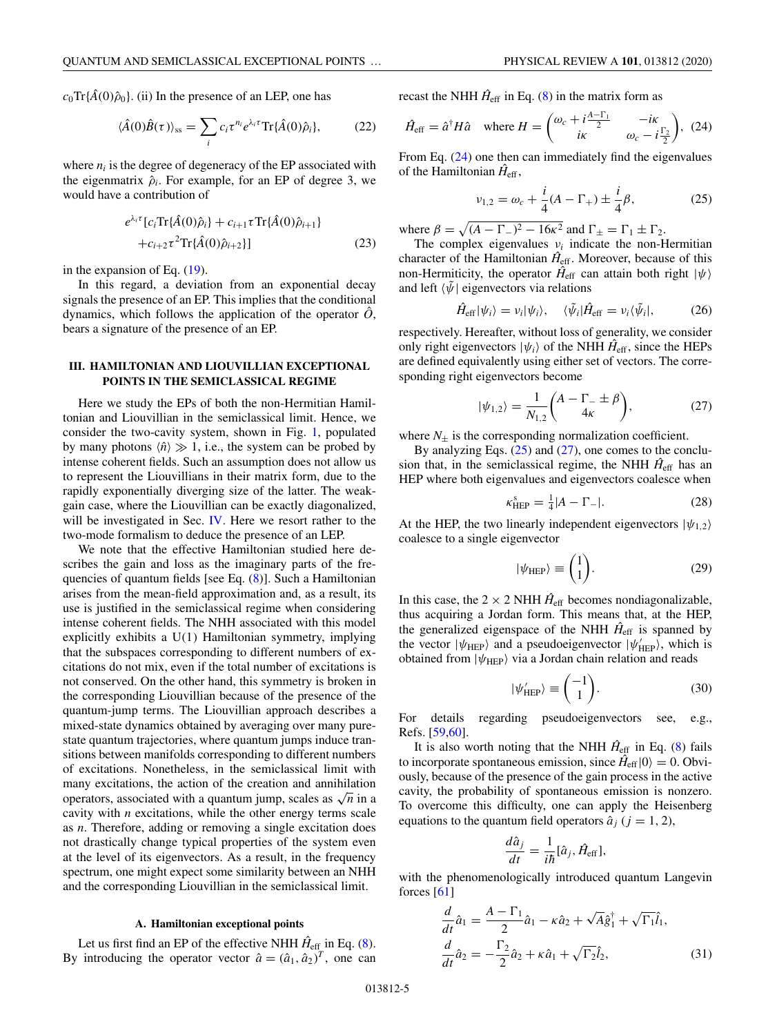<span id="page-4-0"></span> $c_0$ Tr{ $\hat{A}(0)\hat{\rho}_0$ }. (ii) In the presence of an LEP, one has

$$
\langle \hat{A}(0)\hat{B}(\tau)\rangle_{\rm ss} = \sum_{i} c_i \tau^{n_i} e^{\lambda_i \tau} \text{Tr}\{\hat{A}(0)\hat{\rho}_i\},\tag{22}
$$

where  $n_i$  is the degree of degeneracy of the EP associated with the eigenmatrix  $\hat{\rho}_i$ . For example, for an EP of degree 3, we would have a contribution of

$$
e^{\lambda_i \tau} [c_i \text{Tr}\{\hat{A}(0)\hat{\rho}_i\} + c_{i+1} \tau \text{Tr}\{\hat{A}(0)\hat{\rho}_{i+1}\} + c_{i+2} \tau^2 \text{Tr}\{\hat{A}(0)\hat{\rho}_{i+2}\}]
$$
 (23)

in the expansion of Eq. [\(19\)](#page-3-0).

In this regard, a deviation from an exponential decay signals the presence of an EP. This implies that the conditional dynamics, which follows the application of the operator  $\hat{O}$ , bears a signature of the presence of an EP.

## **III. HAMILTONIAN AND LIOUVILLIAN EXCEPTIONAL POINTS IN THE SEMICLASSICAL REGIME**

Here we study the EPs of both the non-Hermitian Hamiltonian and Liouvillian in the semiclassical limit. Hence, we consider the two-cavity system, shown in Fig. [1,](#page-1-0) populated by many photons  $\langle \hat{n} \rangle \gg 1$ , i.e., the system can be probed by intense coherent fields. Such an assumption does not allow us to represent the Liouvillians in their matrix form, due to the rapidly exponentially diverging size of the latter. The weakgain case, where the Liouvillian can be exactly diagonalized, will be investigated in Sec. [IV.](#page-8-0) Here we resort rather to the two-mode formalism to deduce the presence of an LEP.

We note that the effective Hamiltonian studied here describes the gain and loss as the imaginary parts of the frequencies of quantum fields [see Eq. [\(8\)](#page-2-0)]. Such a Hamiltonian arises from the mean-field approximation and, as a result, its use is justified in the semiclassical regime when considering intense coherent fields. The NHH associated with this model explicitly exhibits a U(1) Hamiltonian symmetry, implying that the subspaces corresponding to different numbers of excitations do not mix, even if the total number of excitations is not conserved. On the other hand, this symmetry is broken in the corresponding Liouvillian because of the presence of the quantum-jump terms. The Liouvillian approach describes a mixed-state dynamics obtained by averaging over many purestate quantum trajectories, where quantum jumps induce transitions between manifolds corresponding to different numbers of excitations. Nonetheless, in the semiclassical limit with many excitations, the action of the creation and annihilation operators, associated with a quantum jump, scales as  $\sqrt{n}$  in a cavity with *n* excitations, while the other energy terms scale as *n*. Therefore, adding or removing a single excitation does not drastically change typical properties of the system even at the level of its eigenvectors. As a result, in the frequency spectrum, one might expect some similarity between an NHH and the corresponding Liouvillian in the semiclassical limit.

## **A. Hamiltonian exceptional points**

Let us first find an EP of the effective NHH  $\hat{H}_{\text{eff}}$  in Eq. [\(8\)](#page-2-0). By introducing the operator vector  $\hat{a} = (\hat{a}_1, \hat{a}_2)^T$ , one can

recast the NHH  $\hat{H}_{\text{eff}}$  in Eq. [\(8\)](#page-2-0) in the matrix form as

$$
\hat{H}_{\text{eff}} = \hat{a}^{\dagger} H \hat{a} \quad \text{where } H = \begin{pmatrix} \omega_c + i\frac{A - \Gamma_1}{2} & -i\kappa \\ i\kappa & \omega_c - i\frac{\Gamma_2}{2} \end{pmatrix}, \tag{24}
$$

From Eq. (24) one then can immediately find the eigenvalues of the Hamiltonian  $\hat{H}_{\text{eff}}$ ,

$$
\nu_{1,2} = \omega_c + \frac{i}{4}(A - \Gamma_+) \pm \frac{i}{4}\beta,
$$
 (25)

where  $\beta = \sqrt{(A - \Gamma_{-})^2 - 16\kappa^2}$  and  $\Gamma_{\pm} = \Gamma_1 \pm \Gamma_2$ .

The complex eigenvalues ν*<sup>i</sup>* indicate the non-Hermitian character of the Hamiltonian  $\hat{H}_{\text{eff}}$ . Moreover, because of this non-Hermiticity, the operator  $\hat{H}_{\text{eff}}$  can attain both right  $|\psi\rangle$ and left  $\langle \tilde{\psi} |$  eigenvectors via relations

$$
\hat{H}_{\rm eff}|\psi_i\rangle = v_i|\psi_i\rangle, \quad \langle \tilde{\psi}_i|\hat{H}_{\rm eff} = v_i \langle \tilde{\psi}_i|,\tag{26}
$$

respectively. Hereafter, without loss of generality, we consider only right eigenvectors  $|\psi_i\rangle$  of the NHH  $\hat{H}_{\text{eff}}$ , since the HEPs are defined equivalently using either set of vectors. The corresponding right eigenvectors become

$$
|\psi_{1,2}\rangle = \frac{1}{N_{1,2}} \binom{A - \Gamma_- \pm \beta}{4\kappa},\tag{27}
$$

where  $N_{\pm}$  is the corresponding normalization coefficient.

By analyzing Eqs.  $(25)$  and  $(27)$ , one comes to the conclusion that, in the semiclassical regime, the NHH  $\hat{H}_{\text{eff}}$  has an HEP where both eigenvalues and eigenvectors coalesce when

$$
\kappa_{\rm HEP}^{\rm s} = \frac{1}{4} |A - \Gamma_{-}|. \tag{28}
$$

At the HEP, the two linearly independent eigenvectors  $|\psi_{1,2}\rangle$ coalesce to a single eigenvector

$$
|\psi_{\text{HEP}}\rangle \equiv \begin{pmatrix} 1\\1 \end{pmatrix}.
$$
 (29)

In this case, the  $2 \times 2$  NHH  $\hat{H}_{\text{eff}}$  becomes nondiagonalizable, thus acquiring a Jordan form. This means that, at the HEP, the generalized eigenspace of the NHH  $\hat{H}_{\text{eff}}$  is spanned by the vector  $|\psi_{\text{HEP}}\rangle$  and a pseudoeigenvector  $|\psi_{\text{HEP}}'\rangle$ , which is obtained from  $|\psi_{\text{HEP}}\rangle$  via a Jordan chain relation and reads

$$
|\psi_{\text{HEP}}'\rangle \equiv \begin{pmatrix} -1\\1 \end{pmatrix}.
$$
 (30)

For details regarding pseudoeigenvectors see, e.g., Refs. [\[59,60\]](#page-15-0).

It is also worth noting that the NHH  $\hat{H}_{\text{eff}}$  in Eq. [\(8\)](#page-2-0) fails to incorporate spontaneous emission, since  $\hat{H}_{\text{eff}}|0\rangle = 0$ . Obviously, because of the presence of the gain process in the active cavity, the probability of spontaneous emission is nonzero. To overcome this difficulty, one can apply the Heisenberg equations to the quantum field operators  $\hat{a}_i$  ( $j = 1, 2$ ),

$$
\frac{d\hat{a}_j}{dt} = \frac{1}{i\hbar} [\hat{a}_j, \hat{H}_{\text{eff}}],
$$

with the phenomenologically introduced quantum Langevin forces  $[61]$ 

$$
\frac{d}{dt}\hat{a}_1 = \frac{A - \Gamma_1}{2}\hat{a}_1 - \kappa \hat{a}_2 + \sqrt{A}\hat{g}_1^{\dagger} + \sqrt{\Gamma_1}\hat{l}_1,
$$
  

$$
\frac{d}{dt}\hat{a}_2 = -\frac{\Gamma_2}{2}\hat{a}_2 + \kappa \hat{a}_1 + \sqrt{\Gamma_2}\hat{l}_2,
$$
(31)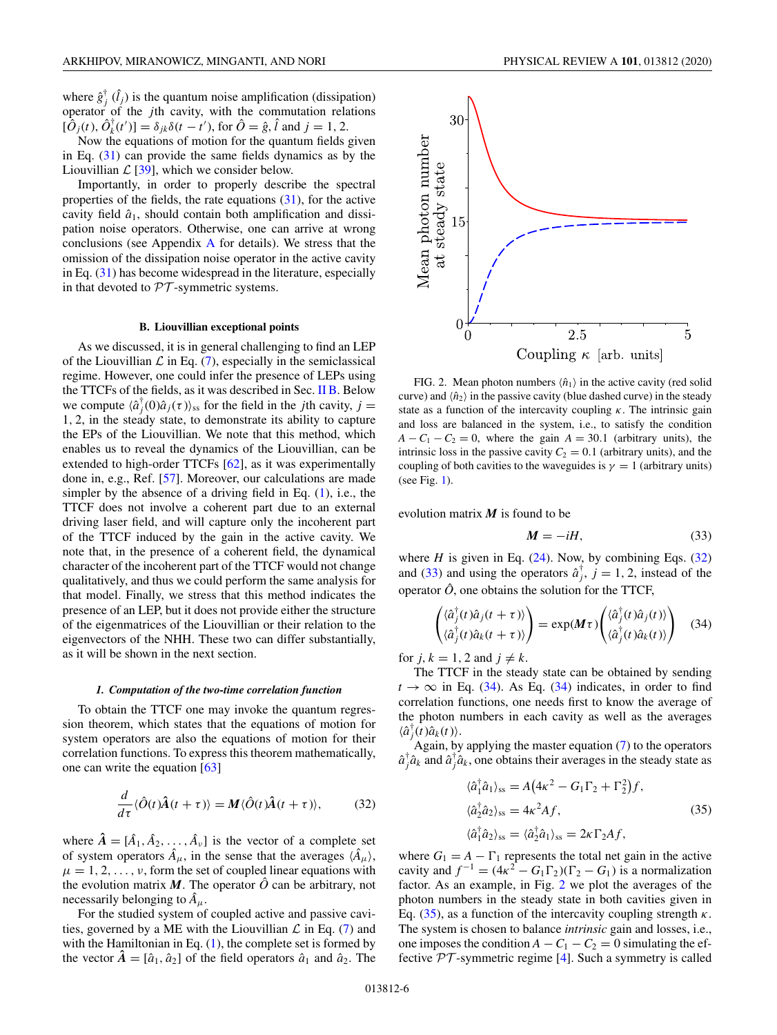<span id="page-5-0"></span>where  $\hat{g}_j^{\dagger}$  ( $\hat{l}_j$ ) is the quantum noise amplification (dissipation) operator of the *j*th cavity, with the commutation relations  $[\hat{O}_j(t), \hat{O}_k^{\dagger}(t')] = \delta_{jk}\delta(t - t')$ , for  $\hat{O} = \hat{g}, \hat{l}$  and  $j = 1, 2$ .

Now the equations of motion for the quantum fields given in Eq. [\(31\)](#page-4-0) can provide the same fields dynamics as by the Liouvillian  $\mathcal{L}$  [\[39\]](#page-15-0), which we consider below.

Importantly, in order to properly describe the spectral properties of the fields, the rate equations [\(31\)](#page-4-0), for the active cavity field  $\hat{a}_1$ , should contain both amplification and dissipation noise operators. Otherwise, one can arrive at wrong conclusions (see [A](#page-12-0)ppendix  $\overline{A}$  for details). We stress that the omission of the dissipation noise operator in the active cavity in Eq. [\(31\)](#page-4-0) has become widespread in the literature, especially in that devoted to  $\mathcal{PT}$ -symmetric systems.

#### **B. Liouvillian exceptional points**

As we discussed, it is in general challenging to find an LEP of the Liouvillian  $\mathcal L$  in Eq. [\(7\)](#page-2-0), especially in the semiclassical regime. However, one could infer the presence of LEPs using the TTCFs of the fields, as it was described in Sec. [II B.](#page-2-0) Below we compute  $\langle \hat{a}_j^{\dagger}(0)\hat{a}_j(\tau) \rangle$ <sub>ss</sub> for the field in the *j*th cavity, *j* = 1, 2, in the steady state, to demonstrate its ability to capture the EPs of the Liouvillian. We note that this method, which enables us to reveal the dynamics of the Liouvillian, can be extended to high-order TTCFs [\[62\]](#page-15-0), as it was experimentally done in, e.g., Ref. [\[57\]](#page-15-0). Moreover, our calculations are made simpler by the absence of a driving field in Eq.  $(1)$ , i.e., the TTCF does not involve a coherent part due to an external driving laser field, and will capture only the incoherent part of the TTCF induced by the gain in the active cavity. We note that, in the presence of a coherent field, the dynamical character of the incoherent part of the TTCF would not change qualitatively, and thus we could perform the same analysis for that model. Finally, we stress that this method indicates the presence of an LEP, but it does not provide either the structure of the eigenmatrices of the Liouvillian or their relation to the eigenvectors of the NHH. These two can differ substantially, as it will be shown in the next section.

#### *1. Computation of the two-time correlation function*

To obtain the TTCF one may invoke the quantum regression theorem, which states that the equations of motion for system operators are also the equations of motion for their correlation functions. To express this theorem mathematically, one can write the equation [\[63\]](#page-15-0)

$$
\frac{d}{d\tau}\langle \hat{O}(t)\hat{A}(t+\tau)\rangle = M\langle \hat{O}(t)\hat{A}(t+\tau)\rangle, \tag{32}
$$

where  $\hat{A} = [\hat{A}_1, \hat{A}_2, \dots, \hat{A}_v]$  is the vector of a complete set of system operators  $\hat{A}_{\mu}$ , in the sense that the averages  $\langle \hat{A}_{\mu} \rangle$ ,  $\mu = 1, 2, \ldots, \nu$ , form the set of coupled linear equations with the evolution matrix  $M$ . The operator  $\hat{O}$  can be arbitrary, not necessarily belonging to  $A_\mu$ .

For the studied system of coupled active and passive cavities, governed by a ME with the Liouvillian  $\mathcal L$  in Eq. [\(7\)](#page-2-0) and with the Hamiltonian in Eq.  $(1)$ , the complete set is formed by the vector  $\hat{A} = [\hat{a}_1, \hat{a}_2]$  of the field operators  $\hat{a}_1$  and  $\hat{a}_2$ . The



FIG. 2. Mean photon numbers  $\langle \hat{n}_1 \rangle$  in the active cavity (red solid curve) and  $\langle \hat{n}_2 \rangle$  in the passive cavity (blue dashed curve) in the steady state as a function of the intercavity coupling  $\kappa$ . The intrinsic gain and loss are balanced in the system, i.e., to satisfy the condition  $A - C_1 - C_2 = 0$ , where the gain  $A = 30.1$  (arbitrary units), the intrinsic loss in the passive cavity  $C_2 = 0.1$  (arbitrary units), and the coupling of both cavities to the waveguides is  $\gamma = 1$  (arbitrary units) (see Fig. [1\)](#page-1-0).

evolution matrix *M* is found to be

$$
M = -iH,\t(33)
$$

where  $H$  is given in Eq.  $(24)$ . Now, by combining Eqs.  $(32)$ and (33) and using the operators  $\hat{a}^{\dagger}_{j}$ ,  $j = 1, 2$ , instead of the operator  $\hat{O}$ , one obtains the solution for the TTCF,

$$
\begin{pmatrix} \langle \hat{a}_j^{\dagger}(t) \hat{a}_j(t+\tau) \rangle \\ \langle \hat{a}_j^{\dagger}(t) \hat{a}_k(t+\tau) \rangle \end{pmatrix} = \exp(M\tau) \begin{pmatrix} \langle \hat{a}_j^{\dagger}(t) \hat{a}_j(t) \rangle \\ \langle \hat{a}_j^{\dagger}(t) \hat{a}_k(t) \rangle \end{pmatrix} \quad (34)
$$

for  $j, k = 1, 2$  and  $j \neq k$ .

The TTCF in the steady state can be obtained by sending  $t \rightarrow \infty$  in Eq. (34). As Eq. (34) indicates, in order to find correlation functions, one needs first to know the average of the photon numbers in each cavity as well as the averages  $\langle \hat{a}^{\dagger}_j(t) \hat{a}_k(t) \rangle$ .

Again, by applying the master equation [\(7\)](#page-2-0) to the operators  $\hat{a}^{\dagger}_{j}\hat{a}_{k}$  and  $\hat{a}^{\dagger}_{j}\hat{a}_{k}$ , one obtains their averages in the steady state as

$$
\langle \hat{a}_1^{\dagger} \hat{a}_1 \rangle_{\text{ss}} = A \big( 4\kappa^2 - G_1 \Gamma_2 + \Gamma_2^2 \big) f,
$$
  
\n
$$
\langle \hat{a}_2^{\dagger} \hat{a}_2 \rangle_{\text{ss}} = 4\kappa^2 A f,
$$
  
\n
$$
\langle \hat{a}_1^{\dagger} \hat{a}_2 \rangle_{\text{ss}} = \langle \hat{a}_2^{\dagger} \hat{a}_1 \rangle_{\text{ss}} = 2\kappa \Gamma_2 A f,
$$
\n(35)

where  $G_1 = A - \Gamma_1$  represents the total net gain in the active cavity and  $f^{-1} = (4\kappa^2 - G_1 \Gamma_2)(\Gamma_2 - G_1)$  is a normalization factor. As an example, in Fig. 2 we plot the averages of the photon numbers in the steady state in both cavities given in Eq. (35), as a function of the intercavity coupling strength  $\kappa$ . The system is chosen to balance *intrinsic* gain and losses, i.e., one imposes the condition  $A - C_1 - C_2 = 0$  simulating the effective  $PT$ -symmetric regime [\[4\]](#page-14-0). Such a symmetry is called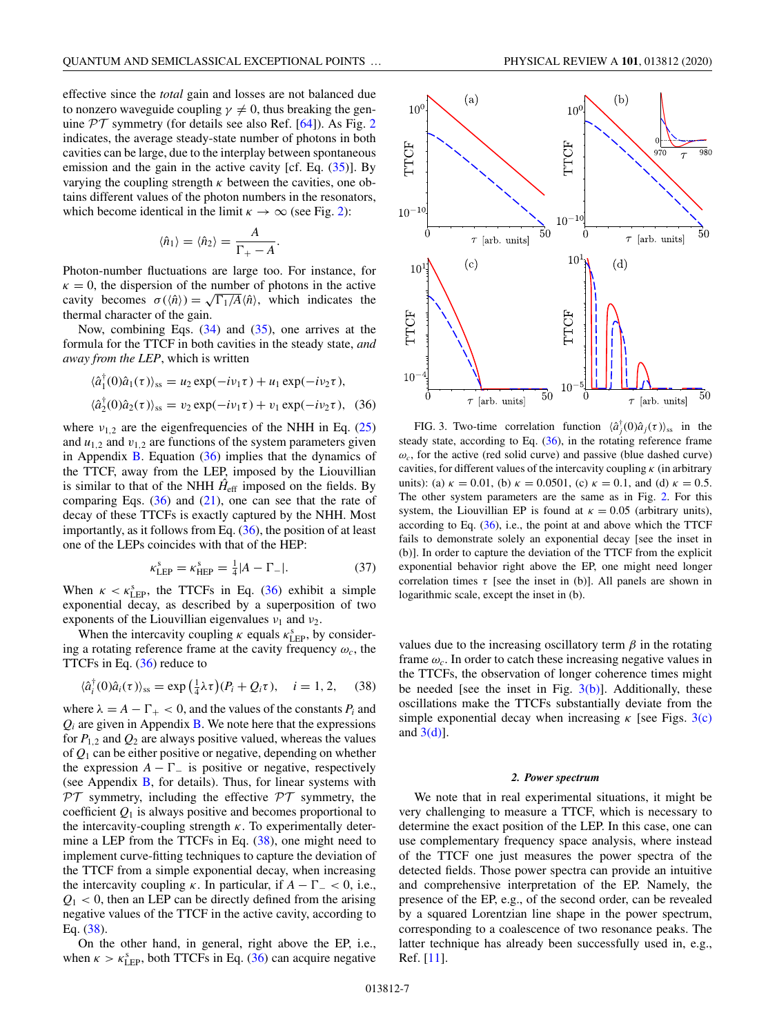<span id="page-6-0"></span>effective since the *total* gain and losses are not balanced due to nonzero waveguide coupling  $\gamma \neq 0$ , thus breaking the genuine  $PT$  symmetry (for details see also Ref. [\[64\]](#page-15-0)). As Fig. [2](#page-5-0) indicates, the average steady-state number of photons in both cavities can be large, due to the interplay between spontaneous emission and the gain in the active cavity [cf. Eq.  $(35)$ ]. By varying the coupling strength  $\kappa$  between the cavities, one obtains different values of the photon numbers in the resonators, which become identical in the limit  $\kappa \to \infty$  (see Fig. [2\)](#page-5-0):

$$
\langle \hat{n}_1 \rangle = \langle \hat{n}_2 \rangle = \frac{A}{\Gamma_+ - A}.
$$

Photon-number fluctuations are large too. For instance, for  $\kappa = 0$ , the dispersion of the number of photons in the active  $\kappa = 0$ , the dispersion of the number of photons in the active<br>cavity becomes  $\sigma(\langle \hat{n} \rangle) = \sqrt{\Gamma_1/A} \langle \hat{n} \rangle$ , which indicates the thermal character of the gain.

Now, combining Eqs. [\(34\)](#page-5-0) and [\(35\)](#page-5-0), one arrives at the formula for the TTCF in both cavities in the steady state, *and away from the LEP*, which is written

$$
\langle \hat{a}_1^{\dagger}(0)\hat{a}_1(\tau)\rangle_{\text{ss}} = u_2 \exp(-i\nu_1 \tau) + u_1 \exp(-i\nu_2 \tau),
$$
  

$$
\langle \hat{a}_2^{\dagger}(0)\hat{a}_2(\tau)\rangle_{\text{ss}} = v_2 \exp(-i\nu_1 \tau) + v_1 \exp(-i\nu_2 \tau), \quad (36)
$$

where  $v_{1,2}$  are the eigenfrequencies of the NHH in Eq. [\(25\)](#page-4-0) and  $u_{1,2}$  and  $v_{1,2}$  are functions of the system parameters given in Appendix  $\overline{B}$ . Equation (36) implies that the dynamics of the TTCF, away from the LEP, imposed by the Liouvillian is similar to that of the NHH  $\hat{H}_{\text{eff}}$  imposed on the fields. By comparing Eqs.  $(36)$  and  $(21)$ , one can see that the rate of decay of these TTCFs is exactly captured by the NHH. Most importantly, as it follows from Eq.  $(36)$ , the position of at least one of the LEPs coincides with that of the HEP:

$$
\kappa_{\rm LEP}^{\rm s} = \kappa_{\rm HEP}^{\rm s} = \frac{1}{4} |A - \Gamma_{-}|. \tag{37}
$$

When  $\kappa < \kappa_{\text{LEP}}^s$ , the TTCFs in Eq. (36) exhibit a simple exponential decay, as described by a superposition of two exponents of the Liouvillian eigenvalues  $v_1$  and  $v_2$ .

When the intercavity coupling  $\kappa$  equals  $\kappa_{\text{LEP}}^s$ , by considering a rotating reference frame at the cavity frequency  $\omega_c$ , the TTCFs in Eq. (36) reduce to

$$
\langle \hat{a}_i^{\dagger}(0)\hat{a}_i(\tau)\rangle_{\text{ss}} = \exp\left(\frac{1}{4}\lambda\tau\right)(P_i + Q_i\tau), \quad i = 1, 2, \quad (38)
$$

where  $\lambda = A - \Gamma_+ < 0$ , and the values of the constants  $P_i$  and  $Q_i$  are given in Appendix  $\bf{B}$ . We note here that the expressions for  $P_{1,2}$  and  $Q_2$  are always positive valued, whereas the values of *Q*<sup>1</sup> can be either positive or negative, depending on whether the expression  $A - \Gamma_{-}$  is positive or negative, respectively (see Appendix [B,](#page-12-0) for details). Thus, for linear systems with  $PT$  symmetry, including the effective  $PT$  symmetry, the coefficient  $Q_1$  is always positive and becomes proportional to the intercavity-coupling strength  $\kappa$ . To experimentally determine a LEP from the TTCFs in Eq. (38), one might need to implement curve-fitting techniques to capture the deviation of the TTCF from a simple exponential decay, when increasing the intercavity coupling  $\kappa$ . In particular, if  $A - \Gamma_{-} < 0$ , i.e.,  $Q_1$  < 0, then an LEP can be directly defined from the arising negative values of the TTCF in the active cavity, according to Eq. (38).

On the other hand, in general, right above the EP, i.e., when  $\kappa > \kappa_{\rm LEP}^{\rm s}$ , both TTCFs in Eq. (36) can acquire negative



FIG. 3. Two-time correlation function  $\langle \hat{a}_j^{\dagger}(0) \hat{a}_j(\tau) \rangle_{ss}$  in the steady state, according to Eq.  $(36)$ , in the rotating reference frame  $\omega_c$ , for the active (red solid curve) and passive (blue dashed curve) cavities, for different values of the intercavity coupling  $\kappa$  (in arbitrary units): (a)  $\kappa = 0.01$ , (b)  $\kappa = 0.0501$ , (c)  $\kappa = 0.1$ , and (d)  $\kappa = 0.5$ . The other system parameters are the same as in Fig. [2.](#page-5-0) For this system, the Liouvillian EP is found at  $\kappa = 0.05$  (arbitrary units), according to Eq.  $(36)$ , i.e., the point at and above which the TTCF fails to demonstrate solely an exponential decay [see the inset in (b)]. In order to capture the deviation of the TTCF from the explicit exponential behavior right above the EP, one might need longer correlation times  $\tau$  [see the inset in (b)]. All panels are shown in logarithmic scale, except the inset in (b).

values due to the increasing oscillatory term  $\beta$  in the rotating frame  $\omega_c$ . In order to catch these increasing negative values in the TTCFs, the observation of longer coherence times might be needed [see the inset in Fig.  $3(b)$ ]. Additionally, these oscillations make the TTCFs substantially deviate from the simple exponential decay when increasing  $\kappa$  [see Figs. 3(c) and  $3(d)$ ].

#### *2. Power spectrum*

We note that in real experimental situations, it might be very challenging to measure a TTCF, which is necessary to determine the exact position of the LEP. In this case, one can use complementary frequency space analysis, where instead of the TTCF one just measures the power spectra of the detected fields. Those power spectra can provide an intuitive and comprehensive interpretation of the EP. Namely, the presence of the EP, e.g., of the second order, can be revealed by a squared Lorentzian line shape in the power spectrum, corresponding to a coalescence of two resonance peaks. The latter technique has already been successfully used in, e.g., Ref. [\[11\]](#page-14-0).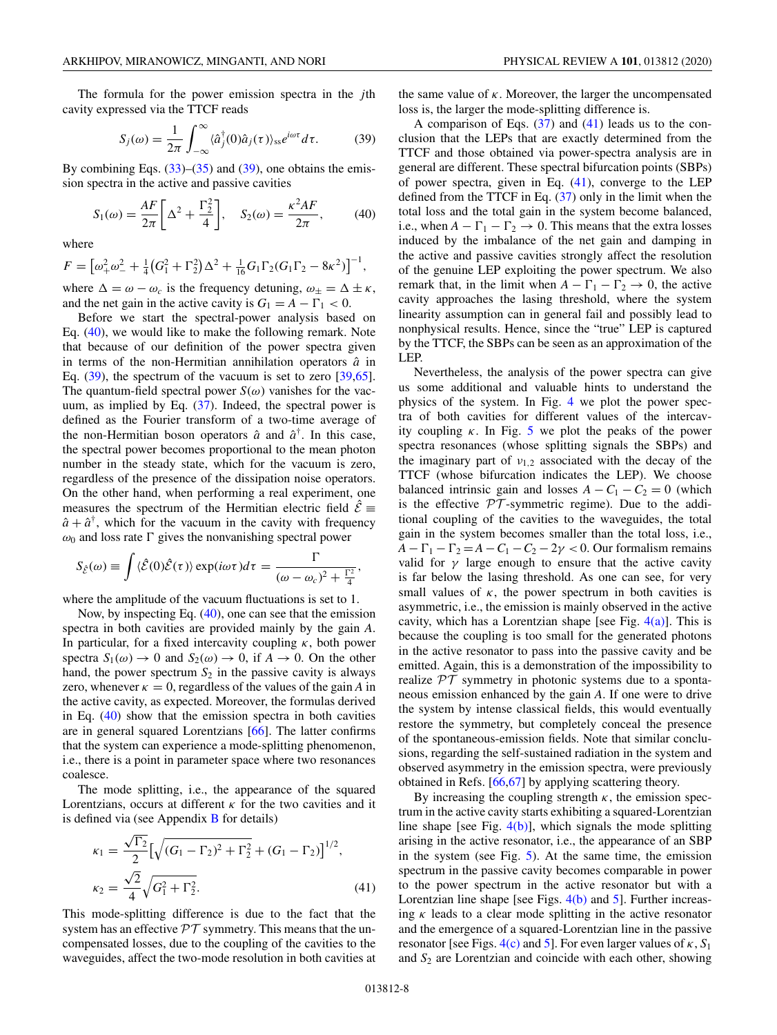<span id="page-7-0"></span>The formula for the power emission spectra in the *j*th cavity expressed via the TTCF reads

$$
S_j(\omega) = \frac{1}{2\pi} \int_{-\infty}^{\infty} \langle \hat{a}_j^{\dagger}(0)\hat{a}_j(\tau) \rangle_{\rm ss} e^{i\omega \tau} d\tau.
$$
 (39)

By combining Eqs.  $(33)$ – $(35)$  and  $(39)$ , one obtains the emission spectra in the active and passive cavities

$$
S_1(\omega) = \frac{AF}{2\pi} \left[ \Delta^2 + \frac{\Gamma_2^2}{4} \right], \quad S_2(\omega) = \frac{\kappa^2 AF}{2\pi}, \quad (40)
$$

where

$$
F = \left[\omega_+^2 \omega_-^2 + \frac{1}{4} \left(G_1^2 + \Gamma_2^2\right) \Delta^2 + \frac{1}{16} G_1 \Gamma_2 (G_1 \Gamma_2 - 8\kappa^2)\right]^{-1},
$$

where  $\Delta = \omega - \omega_c$  is the frequency detuning,  $\omega_{\pm} = \Delta \pm \kappa$ , and the net gain in the active cavity is  $G_1 = A - \Gamma_1 < 0$ .

Before we start the spectral-power analysis based on Eq. (40), we would like to make the following remark. Note that because of our definition of the power spectra given in terms of the non-Hermitian annihilation operators  $\hat{a}$  in Eq. (39), the spectrum of the vacuum is set to zero [\[39](#page-15-0)[,65\]](#page-16-0). The quantum-field spectral power  $S(\omega)$  vanishes for the vacuum, as implied by Eq. [\(37\)](#page-6-0). Indeed, the spectral power is defined as the Fourier transform of a two-time average of the non-Hermitian boson operators  $\hat{a}$  and  $\hat{a}^{\dagger}$ . In this case, the spectral power becomes proportional to the mean photon number in the steady state, which for the vacuum is zero, regardless of the presence of the dissipation noise operators. On the other hand, when performing a real experiment, one measures the spectrum of the Hermitian electric field  $\hat{\mathcal{E}}$  =  $\hat{a} + \hat{a}^{\dagger}$ , which for the vacuum in the cavity with frequency  $\omega_0$  and loss rate  $\Gamma$  gives the nonvanishing spectral power

$$
S_{\hat{\mathcal{E}}}(\omega) \equiv \int \langle \hat{\mathcal{E}}(0)\hat{\mathcal{E}}(\tau) \rangle \exp(i\omega \tau) d\tau = \frac{\Gamma}{(\omega - \omega_c)^2 + \frac{\Gamma^2}{4}}
$$

where the amplitude of the vacuum fluctuations is set to 1.

Now, by inspecting Eq. (40), one can see that the emission spectra in both cavities are provided mainly by the gain *A*. In particular, for a fixed intercavity coupling  $\kappa$ , both power spectra  $S_1(\omega) \to 0$  and  $S_2(\omega) \to 0$ , if  $A \to 0$ . On the other hand, the power spectrum  $S_2$  in the passive cavity is always zero, whenever  $\kappa = 0$ , regardless of the values of the gain *A* in the active cavity, as expected. Moreover, the formulas derived in Eq. (40) show that the emission spectra in both cavities are in general squared Lorentzians [\[66\]](#page-16-0). The latter confirms that the system can experience a mode-splitting phenomenon, i.e., there is a point in parameter space where two resonances coalesce.

The mode splitting, i.e., the appearance of the squared Lorentzians, occurs at different  $\kappa$  for the two cavities and it is defined via (see Appendix  $\bf{B}$  $\bf{B}$  $\bf{B}$  for details)

$$
\kappa_1 = \frac{\sqrt{\Gamma_2}}{2} \left[ \sqrt{(G_1 - \Gamma_2)^2 + \Gamma_2^2} + (G_1 - \Gamma_2) \right]^{1/2},
$$
  

$$
\kappa_2 = \frac{\sqrt{2}}{4} \sqrt{G_1^2 + \Gamma_2^2}.
$$
 (41)

This mode-splitting difference is due to the fact that the system has an effective  $\mathcal{PT}$  symmetry. This means that the uncompensated losses, due to the coupling of the cavities to the waveguides, affect the two-mode resolution in both cavities at the same value of  $\kappa$ . Moreover, the larger the uncompensated loss is, the larger the mode-splitting difference is.

A comparison of Eqs.  $(37)$  and  $(41)$  leads us to the conclusion that the LEPs that are exactly determined from the TTCF and those obtained via power-spectra analysis are in general are different. These spectral bifurcation points (SBPs) of power spectra, given in Eq. (41), converge to the LEP defined from the TTCF in Eq. [\(37\)](#page-6-0) only in the limit when the total loss and the total gain in the system become balanced, i.e., when  $A - \Gamma_1 - \Gamma_2 \rightarrow 0$ . This means that the extra losses induced by the imbalance of the net gain and damping in the active and passive cavities strongly affect the resolution of the genuine LEP exploiting the power spectrum. We also remark that, in the limit when  $A - \Gamma_1 - \Gamma_2 \rightarrow 0$ , the active cavity approaches the lasing threshold, where the system linearity assumption can in general fail and possibly lead to nonphysical results. Hence, since the "true" LEP is captured by the TTCF, the SBPs can be seen as an approximation of the LEP.

Nevertheless, the analysis of the power spectra can give us some additional and valuable hints to understand the physics of the system. In Fig. [4](#page-8-0) we plot the power spectra of both cavities for different values of the intercavity coupling  $\kappa$ . In Fig. [5](#page-8-0) we plot the peaks of the power spectra resonances (whose splitting signals the SBPs) and the imaginary part of  $v_{1,2}$  associated with the decay of the TTCF (whose bifurcation indicates the LEP). We choose balanced intrinsic gain and losses  $A - C_1 - C_2 = 0$  (which is the effective  $PT$ -symmetric regime). Due to the additional coupling of the cavities to the waveguides, the total gain in the system becomes smaller than the total loss, i.e.,  $A - \Gamma_1 - \Gamma_2 = A - C_1 - C_2 - 2\gamma < 0$ . Our formalism remains valid for  $\gamma$  large enough to ensure that the active cavity is far below the lasing threshold. As one can see, for very small values of  $\kappa$ , the power spectrum in both cavities is asymmetric, i.e., the emission is mainly observed in the active cavity, which has a Lorentzian shape [see Fig.  $4(a)$ ]. This is because the coupling is too small for the generated photons in the active resonator to pass into the passive cavity and be emitted. Again, this is a demonstration of the impossibility to realize  $PT$  symmetry in photonic systems due to a spontaneous emission enhanced by the gain *A*. If one were to drive the system by intense classical fields, this would eventually restore the symmetry, but completely conceal the presence of the spontaneous-emission fields. Note that similar conclusions, regarding the self-sustained radiation in the system and observed asymmetry in the emission spectra, were previously obtained in Refs. [\[66,67\]](#page-16-0) by applying scattering theory.

By increasing the coupling strength  $\kappa$ , the emission spectrum in the active cavity starts exhibiting a squared-Lorentzian line shape [see Fig.  $4(b)$ ], which signals the mode splitting arising in the active resonator, i.e., the appearance of an SBP in the system (see Fig. [5\)](#page-8-0). At the same time, the emission spectrum in the passive cavity becomes comparable in power to the power spectrum in the active resonator but with a Lorentzian line shape [see Figs. [4\(b\)](#page-8-0) and [5\]](#page-8-0). Further increasing  $\kappa$  leads to a clear mode splitting in the active resonator and the emergence of a squared-Lorentzian line in the passive resonator [see Figs.  $4(c)$  and [5\]](#page-8-0). For even larger values of  $\kappa$ ,  $S_1$ and *S*<sup>2</sup> are Lorentzian and coincide with each other, showing

,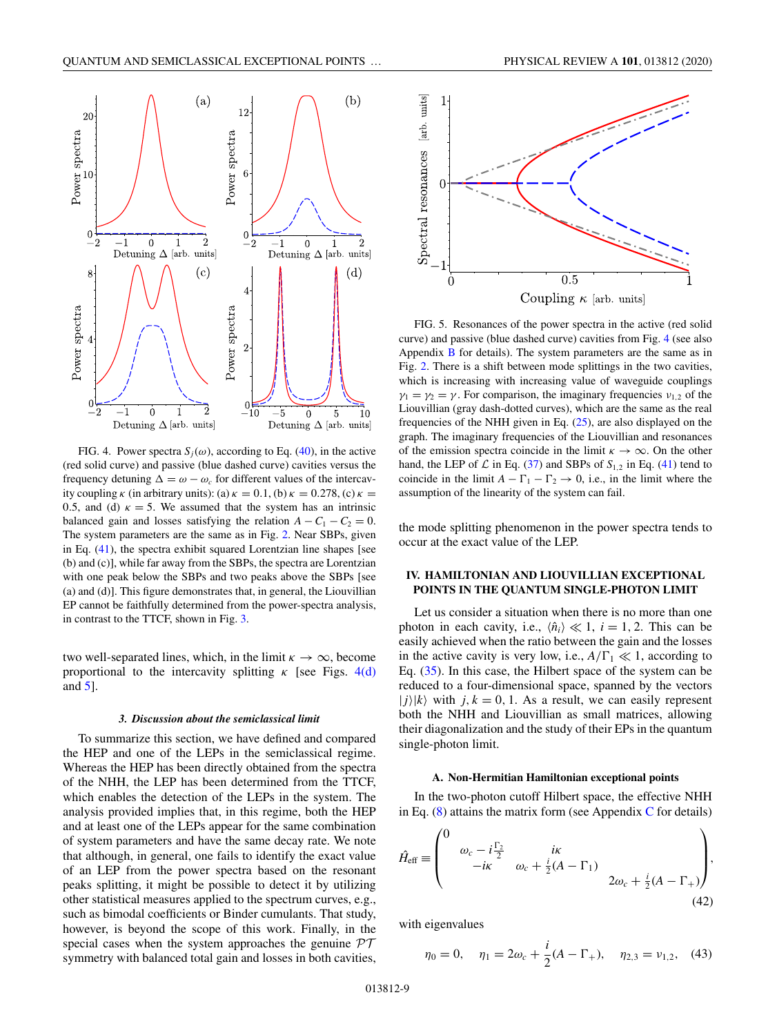<span id="page-8-0"></span>

FIG. 4. Power spectra  $S_i(\omega)$ , according to Eq. [\(40\)](#page-7-0), in the active (red solid curve) and passive (blue dashed curve) cavities versus the frequency detuning  $\Delta = \omega - \omega_c$  for different values of the intercavity coupling  $\kappa$  (in arbitrary units): (a)  $\kappa = 0.1$ , (b)  $\kappa = 0.278$ , (c)  $\kappa =$ 0.5, and (d)  $\kappa = 5$ . We assumed that the system has an intrinsic balanced gain and losses satisfying the relation  $A - C_1 - C_2 = 0$ . The system parameters are the same as in Fig. [2.](#page-5-0) Near SBPs, given in Eq. [\(41\)](#page-7-0), the spectra exhibit squared Lorentzian line shapes [see (b) and (c)], while far away from the SBPs, the spectra are Lorentzian with one peak below the SBPs and two peaks above the SBPs [see (a) and (d)]. This figure demonstrates that, in general, the Liouvillian EP cannot be faithfully determined from the power-spectra analysis, in contrast to the TTCF, shown in Fig. [3.](#page-6-0)

two well-separated lines, which, in the limit  $\kappa \to \infty$ , become proportional to the intercavity splitting  $\kappa$  [see Figs. 4(d) and 5].

### *3. Discussion about the semiclassical limit*

To summarize this section, we have defined and compared the HEP and one of the LEPs in the semiclassical regime. Whereas the HEP has been directly obtained from the spectra of the NHH, the LEP has been determined from the TTCF, which enables the detection of the LEPs in the system. The analysis provided implies that, in this regime, both the HEP and at least one of the LEPs appear for the same combination of system parameters and have the same decay rate. We note that although, in general, one fails to identify the exact value of an LEP from the power spectra based on the resonant peaks splitting, it might be possible to detect it by utilizing other statistical measures applied to the spectrum curves, e.g., such as bimodal coefficients or Binder cumulants. That study, however, is beyond the scope of this work. Finally, in the special cases when the system approaches the genuine  $\mathcal{PT}$ symmetry with balanced total gain and losses in both cavities,



FIG. 5. Resonances of the power spectra in the active (red solid curve) and passive (blue dashed curve) cavities from Fig. 4 (see also Appendix [B](#page-12-0) for details). The system parameters are the same as in Fig. [2.](#page-5-0) There is a shift between mode splittings in the two cavities, which is increasing with increasing value of waveguide couplings  $\gamma_1 = \gamma_2 = \gamma$ . For comparison, the imaginary frequencies  $v_{1,2}$  of the Liouvillian (gray dash-dotted curves), which are the same as the real frequencies of the NHH given in Eq.  $(25)$ , are also displayed on the graph. The imaginary frequencies of the Liouvillian and resonances of the emission spectra coincide in the limit  $\kappa \to \infty$ . On the other hand, the LEP of  $\mathcal L$  in Eq. [\(37\)](#page-6-0) and SBPs of  $S_{1,2}$  in Eq. [\(41\)](#page-7-0) tend to coincide in the limit  $A - \Gamma_1 - \Gamma_2 \rightarrow 0$ , i.e., in the limit where the assumption of the linearity of the system can fail.

the mode splitting phenomenon in the power spectra tends to occur at the exact value of the LEP.

## **IV. HAMILTONIAN AND LIOUVILLIAN EXCEPTIONAL POINTS IN THE QUANTUM SINGLE-PHOTON LIMIT**

Let us consider a situation when there is no more than one photon in each cavity, i.e.,  $\langle \hat{n}_i \rangle \ll 1$ ,  $i = 1, 2$ . This can be easily achieved when the ratio between the gain and the losses in the active cavity is very low, i.e.,  $A/\Gamma_1 \ll 1$ , according to Eq. [\(35\)](#page-5-0). In this case, the Hilbert space of the system can be reduced to a four-dimensional space, spanned by the vectors  $|j\rangle|k\rangle$  with  $j, k = 0, 1$ . As a result, we can easily represent both the NHH and Liouvillian as small matrices, allowing their diagonalization and the study of their EPs in the quantum single-photon limit.

#### **A. Non-Hermitian Hamiltonian exceptional points**

In the two-photon cutoff Hilbert space, the effective NHH in Eq.  $(8)$  attains the matrix form (see Appendix [C](#page-13-0) for details)

$$
\hat{H}_{\text{eff}} \equiv \begin{pmatrix} 0 & & & & \\ & \omega_c - i\frac{\Gamma_2}{2} & & i\kappa & \\ & -i\kappa & & \omega_c + \frac{i}{2}(A - \Gamma_1) & \\ & & & 2\omega_c + \frac{i}{2}(A - \Gamma_+) \end{pmatrix},
$$
\n(42)

with eigenvalues

$$
\eta_0 = 0, \quad \eta_1 = 2\omega_c + \frac{i}{2}(A - \Gamma_+), \quad \eta_{2,3} = \nu_{1,2}, \quad (43)
$$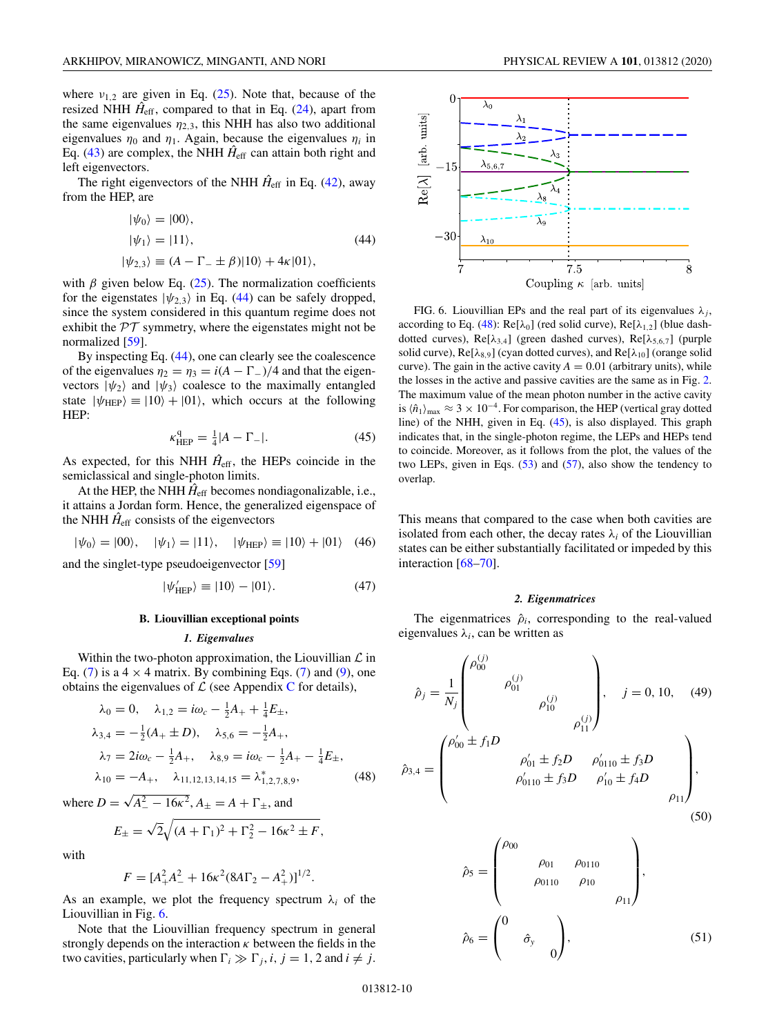<span id="page-9-0"></span>where  $v_{1,2}$  are given in Eq. [\(25\)](#page-4-0). Note that, because of the resized NHH  $H_{\text{eff}}$ , compared to that in Eq. [\(24\)](#page-4-0), apart from the same eigenvalues  $\eta_{2,3}$ , this NHH has also two additional eigenvalues  $\eta_0$  and  $\eta_1$ . Again, because the eigenvalues  $\eta_i$  in Eq. [\(43\)](#page-8-0) are complex, the NHH  $\hat{H}_{\text{eff}}$  can attain both right and left eigenvectors.

The right eigenvectors of the NHH  $\hat{H}_{\text{eff}}$  in Eq. [\(42\)](#page-8-0), away from the HEP, are

$$
|\psi_0\rangle = |00\rangle,
$$
  
\n
$$
|\psi_1\rangle = |11\rangle,
$$
  
\n
$$
|\psi_{2,3}\rangle \equiv (A - \Gamma_- \pm \beta)|10\rangle + 4\kappa|01\rangle,
$$
\n(44)

with  $\beta$  given below Eq. [\(25\)](#page-4-0). The normalization coefficients for the eigenstates  $|\psi_{2,3}\rangle$  in Eq. (44) can be safely dropped, since the system considered in this quantum regime does not exhibit the  $PT$  symmetry, where the eigenstates might not be normalized [\[59\]](#page-15-0).

By inspecting Eq. (44), one can clearly see the coalescence of the eigenvalues  $\eta_2 = \eta_3 = i(A - \Gamma) / 4$  and that the eigenvectors  $|\psi_2\rangle$  and  $|\psi_3\rangle$  coalesce to the maximally entangled state  $|\psi_{\text{HEP}}\rangle \equiv |10\rangle + |01\rangle$ , which occurs at the following HEP:

$$
\kappa_{\rm HEP}^{\rm q} = \frac{1}{4} |A - \Gamma_{-}|. \tag{45}
$$

As expected, for this NHH  $\hat{H}_{\text{eff}}$ , the HEPs coincide in the semiclassical and single-photon limits.

At the HEP, the NHH  $\hat{H}_{\text{eff}}$  becomes nondiagonalizable, i.e., it attains a Jordan form. Hence, the generalized eigenspace of the NHH  $\hat{H}_{\text{eff}}$  consists of the eigenvectors

$$
|\psi_0\rangle = |00\rangle, \quad |\psi_1\rangle = |11\rangle, \quad |\psi_{\text{HEP}}\rangle \equiv |10\rangle + |01\rangle \quad (46)
$$

and the singlet-type pseudoeigenvector [\[59\]](#page-15-0)

$$
|\psi_{\text{HEP}}^{\prime}\rangle \equiv |10\rangle - |01\rangle. \tag{47}
$$

#### **B. Liouvillian exceptional points**

#### *1. Eigenvalues*

Within the two-photon approximation, the Liouvillian  $\mathcal L$  in Eq. [\(7\)](#page-2-0) is a  $4 \times 4$  matrix. By combining Eqs. (7) and [\(9\)](#page-2-0), one obtains the eigenvalues of  $\mathcal L$  (see Appendix [C](#page-13-0) for details),

$$
\lambda_0 = 0, \quad \lambda_{1,2} = i\omega_c - \frac{1}{2}A_+ + \frac{1}{4}E_{\pm},
$$
  
\n
$$
\lambda_{3,4} = -\frac{1}{2}(A_+ \pm D), \quad \lambda_{5,6} = -\frac{1}{2}A_+,
$$
  
\n
$$
\lambda_7 = 2i\omega_c - \frac{1}{2}A_+, \quad \lambda_{8,9} = i\omega_c - \frac{1}{2}A_+ - \frac{1}{4}E_{\pm},
$$
  
\n
$$
\lambda_{10} = -A_+, \quad \lambda_{11,12,13,14,15} = \lambda_{1,2,7,8,9}^*,
$$
\n(48)

where  $D = \sqrt{A_{-}^2 - 16\kappa^2}$ ,  $A_{\pm} = A + \Gamma_{\pm}$ , and

$$
E_{\pm} = \sqrt{2} \sqrt{(A + \Gamma_1)^2 + \Gamma_2^2 - 16\kappa^2 \pm F},
$$

with

$$
F = [A_{+}^{2}A_{-}^{2} + 16\kappa^{2}(8A\Gamma_{2} - A_{+}^{2})]^{1/2}.
$$

As an example, we plot the frequency spectrum  $\lambda_i$  of the Liouvillian in Fig. 6.

Note that the Liouvillian frequency spectrum in general strongly depends on the interaction  $\kappa$  between the fields in the two cavities, particularly when  $\Gamma_i \gg \Gamma_j$ , *i*, *j* = 1, 2 and *i*  $\neq$  *j*.



FIG. 6. Liouvillian EPs and the real part of its eigenvalues  $\lambda_j$ , according to Eq. (48): Re[ $\lambda_0$ ] (red solid curve), Re[ $\lambda_{1,2}$ ] (blue dashdotted curves), Re[ $\lambda_{3,4}$ ] (green dashed curves), Re[ $\lambda_{5,6,7}$ ] (purple solid curve),  $Re[\lambda_{8,9}]$  (cyan dotted curves), and  $Re[\lambda_{10}]$  (orange solid curve). The gain in the active cavity  $A = 0.01$  (arbitrary units), while the losses in the active and passive cavities are the same as in Fig. [2.](#page-5-0) The maximum value of the mean photon number in the active cavity is  $\langle \hat{n}_1 \rangle_{\text{max}} \approx 3 \times 10^{-4}$ . For comparison, the HEP (vertical gray dotted line) of the NHH, given in Eq. (45), is also displayed. This graph indicates that, in the single-photon regime, the LEPs and HEPs tend to coincide. Moreover, as it follows from the plot, the values of the two LEPs, given in Eqs. [\(53\)](#page-10-0) and [\(57\)](#page-11-0), also show the tendency to overlap.

This means that compared to the case when both cavities are isolated from each other, the decay rates  $\lambda_i$  of the Liouvillian states can be either substantially facilitated or impeded by this interaction [\[68–70\]](#page-16-0).

#### *2. Eigenmatrices*

The eigenmatrices  $\hat{\rho}_i$ , corresponding to the real-valued eigenvalues  $\lambda_i$ , can be written as

$$
\hat{\rho}_{j} = \frac{1}{N_{j}} \begin{pmatrix} \rho_{00}^{(j)} & & \\ & \rho_{01}^{(j)} & \\ & & \rho_{10}^{(j)} \\ & & & \\ \end{pmatrix}, \quad j = 0, 10, \quad (49)
$$
\n
$$
\hat{\rho}_{3,4} = \begin{pmatrix} \rho_{00}' \pm f_{1}D & & \\ & \rho_{01}' \pm f_{2}D & \rho_{0110}' \pm f_{3}D \\ & \rho_{0110}' \pm f_{3}D & \rho_{10}' \pm f_{4}D \\ & & & \\ \end{pmatrix}, \tag{50}
$$

$$
\hat{\rho}_5 = \begin{pmatrix}\n\rho_{00} & & & & \\
 & \rho_{01} & \rho_{0110} & \\
 & \rho_{0110} & \rho_{10} & \\
 & & & \rho_{11}\n\end{pmatrix},
$$
\n
$$
\hat{\rho}_6 = \begin{pmatrix}\n0 & & & \\
 & \hat{\sigma}_y & \\
 & & 0\n\end{pmatrix},
$$
\n(51)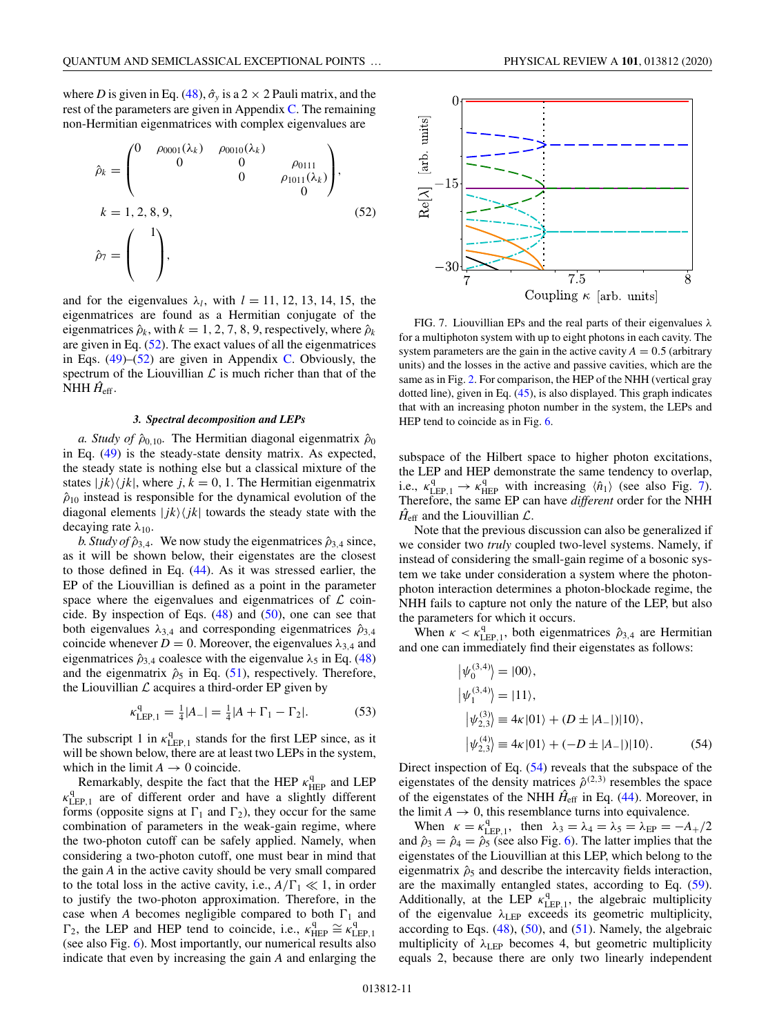<span id="page-10-0"></span>where *D* is given in Eq. [\(48\)](#page-9-0),  $\hat{\sigma}_v$  is a 2  $\times$  2 Pauli matrix, and the rest of the parameters are given in Appendix [C.](#page-13-0) The remaining non-Hermitian eigenmatrices with complex eigenvalues are

$$
\hat{\rho}_k = \begin{pmatrix}\n0 & \rho_{0001}(\lambda_k) & \rho_{0010}(\lambda_k) & & & \\
0 & 0 & 0 & \rho_{0111} \\
0 & 0 & \rho_{1011}(\lambda_k) & 0\n\end{pmatrix},
$$
\n
$$
k = 1, 2, 8, 9,
$$
\n
$$
\hat{\rho}_7 = \begin{pmatrix}\n1 \\
1 \\
\end{pmatrix},
$$
\n(52)

and for the eigenvalues  $\lambda_l$ , with  $l = 11, 12, 13, 14, 15$ , the eigenmatrices are found as a Hermitian conjugate of the eigenmatrices  $\hat{\rho}_k$ , with  $k = 1, 2, 7, 8, 9$ , respectively, where  $\hat{\rho}_k$ are given in Eq. (52). The exact values of all the eigenmatrices in Eqs.  $(49)$ – $(52)$  are given in Appendix [C.](#page-13-0) Obviously, the spectrum of the Liouvillian  $\mathcal L$  is much richer than that of the NHH  $\hat{H}_{\text{eff}}$ .

#### *3. Spectral decomposition and LEPs*

*a. Study of*  $\hat{\rho}_{0,10}$ . The Hermitian diagonal eigenmatrix  $\hat{\rho}_0$ in Eq. [\(49\)](#page-9-0) is the steady-state density matrix. As expected, the steady state is nothing else but a classical mixture of the states  $|jk\rangle\langle jk|$ , where  $j, k = 0, 1$ . The Hermitian eigenmatrix  $\hat{\rho}_{10}$  instead is responsible for the dynamical evolution of the diagonal elements  $|jk\rangle\langle jk|$  towards the steady state with the decaying rate  $\lambda_{10}$ .

*b. Study of*  $\hat{\rho}_{3,4}$ . We now study the eigenmatrices  $\hat{\rho}_{3,4}$  since, as it will be shown below, their eigenstates are the closest to those defined in Eq. [\(44\)](#page-9-0). As it was stressed earlier, the EP of the Liouvillian is defined as a point in the parameter space where the eigenvalues and eigenmatrices of  $\mathcal L$  coincide. By inspection of Eqs.  $(48)$  and  $(50)$ , one can see that both eigenvalues  $\lambda_{3,4}$  and corresponding eigenmatrices  $\hat{\rho}_{3,4}$ coincide whenever  $D = 0$ . Moreover, the eigenvalues  $\lambda_{3,4}$  and eigenmatrices  $\hat{\rho}_{3,4}$  coalesce with the eigenvalue  $\lambda_5$  in Eq. [\(48\)](#page-9-0) and the eigenmatrix  $\hat{\rho}_5$  in Eq. [\(51\)](#page-9-0), respectively. Therefore, the Liouvillian  $\mathcal L$  acquires a third-order EP given by

$$
\kappa_{\text{LEP},1}^{\text{q}} = \frac{1}{4}|A_{-}| = \frac{1}{4}|A + \Gamma_{1} - \Gamma_{2}|. \tag{53}
$$

The subscript 1 in  $\kappa_{\text{LEP},1}^q$  stands for the first LEP since, as it will be shown below, there are at least two LEPs in the system, which in the limit  $A \to 0$  coincide.

Remarkably, despite the fact that the HEP  $\kappa_{\text{HEP}}^{\text{q}}$  and LEP  $\kappa_{\text{LEP},1}^{\text{q}}$  are of different order and have a slightly different forms (opposite signs at  $\Gamma_1$  and  $\Gamma_2$ ), they occur for the same combination of parameters in the weak-gain regime, where the two-photon cutoff can be safely applied. Namely, when considering a two-photon cutoff, one must bear in mind that the gain *A* in the active cavity should be very small compared to the total loss in the active cavity, i.e.,  $A/\Gamma_1 \ll 1$ , in order to justify the two-photon approximation. Therefore, in the case when *A* becomes negligible compared to both  $\Gamma_1$  and  $\Gamma_2$ , the LEP and HEP tend to coincide, i.e.,  $\kappa_{\text{HEP}}^{\text{q}} \cong \kappa_{\text{LEP,1}}^{\text{q}}$ (see also Fig. [6\)](#page-9-0). Most importantly, our numerical results also indicate that even by increasing the gain *A* and enlarging the



FIG. 7. Liouvillian EPs and the real parts of their eigenvalues  $\lambda$ for a multiphoton system with up to eight photons in each cavity. The system parameters are the gain in the active cavity  $A = 0.5$  (arbitrary units) and the losses in the active and passive cavities, which are the same as in Fig. [2.](#page-5-0) For comparison, the HEP of the NHH (vertical gray dotted line), given in Eq. [\(45\)](#page-9-0), is also displayed. This graph indicates that with an increasing photon number in the system, the LEPs and HEP tend to coincide as in Fig. [6.](#page-9-0)

subspace of the Hilbert space to higher photon excitations, the LEP and HEP demonstrate the same tendency to overlap, i.e.,  $\kappa_{\text{LEP},1}^{\text{q}} \rightarrow \kappa_{\text{HEP}}^{\text{q}}$  with increasing  $\langle \hat{n}_1 \rangle$  (see also Fig. 7). Therefore, the same EP can have *different* order for the NHH  $\hat{H}_{\text{eff}}$  and the Liouvillian  $\mathcal{L}$ .

Note that the previous discussion can also be generalized if we consider two *truly* coupled two-level systems. Namely, if instead of considering the small-gain regime of a bosonic system we take under consideration a system where the photonphoton interaction determines a photon-blockade regime, the NHH fails to capture not only the nature of the LEP, but also the parameters for which it occurs.

When  $\kappa < \kappa_{\text{LEP},1}^q$ , both eigenmatrices  $\hat{\rho}_{3,4}$  are Hermitian and one can immediately find their eigenstates as follows:

$$
|\psi_0^{(3,4)}\rangle = |00\rangle,
$$
  
\n
$$
|\psi_1^{(3,4)}\rangle = |11\rangle,
$$
  
\n
$$
|\psi_{2,3}^{(3)}\rangle = 4\kappa|01\rangle + (D \pm |A_{-}|)|10\rangle,
$$
  
\n
$$
|\psi_{2,3}^{(4)}\rangle = 4\kappa|01\rangle + (-D \pm |A_{-}|)|10\rangle.
$$
 (54)

Direct inspection of Eq. (54) reveals that the subspace of the eigenstates of the density matrices  $\hat{\rho}^{(2,3)}$  resembles the space of the eigenstates of the NHH  $\hat{H}_{\text{eff}}$  in Eq. [\(44\)](#page-9-0). Moreover, in the limit  $A \rightarrow 0$ , this resemblance turns into equivalence.

When  $\kappa = \kappa_{\text{LEP},1}^q$ , then  $\lambda_3 = \lambda_4 = \lambda_5 = \lambda_{\text{EP}} = -A_+/2$ and  $\hat{\rho}_3 = \hat{\rho}_4 = \hat{\rho}_5$  (see also Fig. [6\)](#page-9-0). The latter implies that the eigenstates of the Liouvillian at this LEP, which belong to the eigenmatrix  $\hat{\rho}_5$  and describe the intercavity fields interaction, are the maximally entangled states, according to Eq. [\(59\)](#page-11-0). Additionally, at the LEP  $\kappa_{\text{LEP},1}^q$ , the algebraic multiplicity of the eigenvalue  $\lambda_{\text{LEP}}$  exceeds its geometric multiplicity, according to Eqs.  $(48)$ ,  $(50)$ , and  $(51)$ . Namely, the algebraic multiplicity of  $\lambda_{\text{LEP}}$  becomes 4, but geometric multiplicity equals 2, because there are only two linearly independent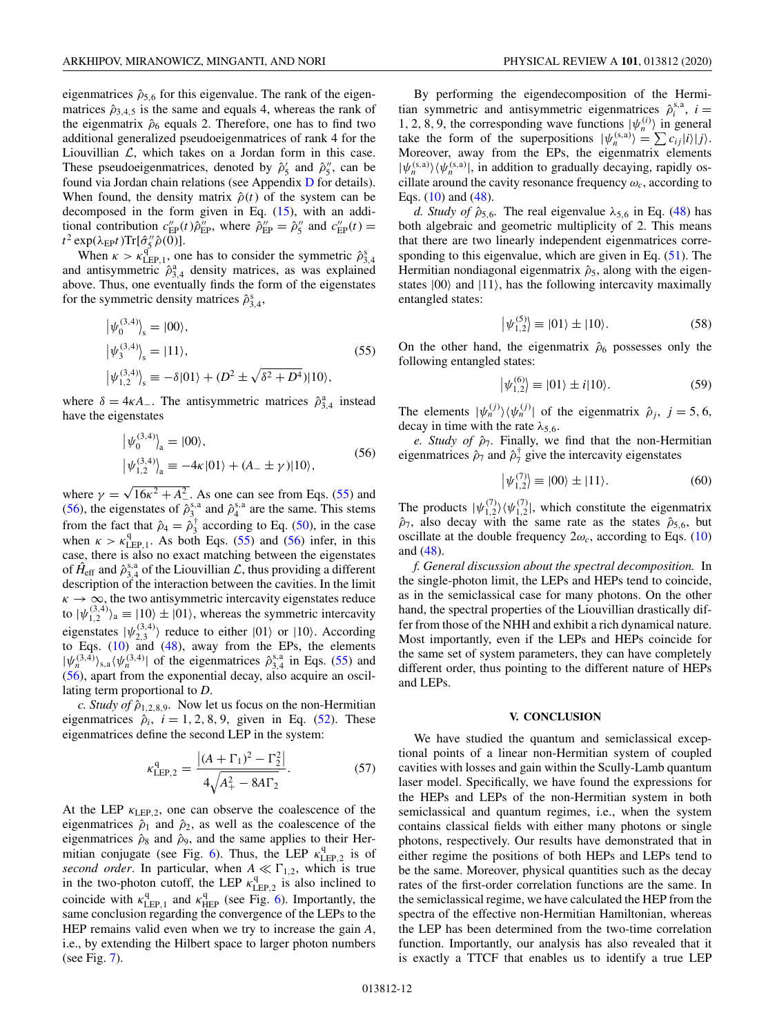<span id="page-11-0"></span>eigenmatrices  $\hat{\rho}_{5,6}$  for this eigenvalue. The rank of the eigenmatrices  $\hat{\rho}_{3,4,5}$  is the same and equals 4, whereas the rank of the eigenmatrix  $\hat{\rho}_6$  equals 2. Therefore, one has to find two additional generalized pseudoeigenmatrices of rank 4 for the Liouvillian  $\mathcal{L}$ , which takes on a Jordan form in this case. These pseudoeigenmatrices, denoted by  $\hat{\rho}'_5$  and  $\hat{\rho}''_5$ , can be found via Jordan chain relations (see Appendix [D](#page-13-0) for details). When found, the density matrix  $\hat{\rho}(t)$  of the system can be decomposed in the form given in Eq. [\(15\)](#page-3-0), with an additional contribution  $c''_{\text{EP}}(t)\hat{\rho}''_{\text{EP}}$ , where  $\hat{\rho}''_{\text{EP}} = \hat{\rho}''_5$  and  $c''_{\text{EP}}(t) =$  $t^2 \exp(\lambda_{\text{EP}} t) \text{Tr}[\hat{\sigma}''_5 \hat{\rho}(0)].$ 

When  $\kappa > \kappa_{\text{LEP},1}^{\text{q}}$ , one has to consider the symmetric  $\hat{\rho}_{3,4}^{\text{s}}$ and antisymmetric  $\hat{\rho}_{3,4}^a$  density matrices, as was explained above. Thus, one eventually finds the form of the eigenstates for the symmetric density matrices  $\hat{\rho}_{3,4}^s$ ,

$$
\begin{aligned} \left| \psi_0^{(3,4)} \right|_s &= |00\rangle, \\ \left| \psi_3^{(3,4)} \right|_s &= |11\rangle, \\ \left| \psi_{1,2}^{(3,4)} \right|_s &\equiv -\delta |01\rangle + (D^2 \pm \sqrt{\delta^2 + D^4}) |10\rangle, \end{aligned} \tag{55}
$$

where  $\delta = 4\kappa A_{-}$ . The antisymmetric matrices  $\hat{\rho}_{3,4}^a$  instead have the eigenstates

$$
\left| \psi_0^{(3,4)} \right|_a = |00\rangle, \n\left| \psi_{1,2}^{(3,4)} \right|_a \equiv -4\kappa |01\rangle + (A_- \pm \gamma)|10\rangle,
$$
\n(56)

where  $\gamma = \sqrt{16\kappa^2 + A_{-}^2}$ . As one can see from Eqs. (55) and (56), the eigenstates of  $\hat{\rho}_3^{s,a}$  and  $\hat{\rho}_4^{s,a}$  are the same. This stems from the fact that  $\hat{\rho}_4 = \hat{\rho}_3^{\dagger}$  according to Eq. [\(50\)](#page-9-0), in the case when  $\kappa > \kappa_{\text{LEP},1}^{\text{q}}$ . As both Eqs. (55) and (56) infer, in this case, there is also no exact matching between the eigenstates of  $\hat{H}_{\text{eff}}$  and  $\hat{\rho}_{3,4}^{s,a}$  of the Liouvillian  $\mathcal{L}$ , thus providing a different description of the interaction between the cavities. In the limit  $\kappa \to \infty$ , the two antisymmetric intercavity eigenstates reduce to  $|\psi_{1,2}^{(3,4)}\rangle_a \equiv |10\rangle \pm |01\rangle$ , whereas the symmetric intercavity eigenstates  $|\psi_{2,3}^{(3,4)}\rangle$  reduce to either  $|01\rangle$  or  $|10\rangle$ . According to Eqs.  $(10)$  and  $(48)$ , away from the EPs, the elements  $|\psi_n^{(3,4)}\rangle_{s,a}\langle\psi_n^{(3,4)}|$  of the eigenmatrices  $\hat{\rho}_{3,4}^{s,a}$  in Eqs. (55) and (56), apart from the exponential decay, also acquire an oscillating term proportional to *D*.

*c. Study of*  $\hat{\rho}_{1,2,8,9}$ . Now let us focus on the non-Hermitian eigenmatrices  $\hat{\rho}_i$ ,  $i = 1, 2, 8, 9$ , given in Eq. [\(52\)](#page-10-0). These eigenmatrices define the second LEP in the system:

$$
\kappa_{\text{LEP},2}^{\text{q}} = \frac{| (A + \Gamma_1)^2 - \Gamma_2^2 |}{4\sqrt{A_+^2 - 8A\Gamma_2}}.
$$
 (57)

At the LEP  $\kappa_{\text{LEP},2}$ , one can observe the coalescence of the eigenmatrices  $\hat{\rho}_1$  and  $\hat{\rho}_2$ , as well as the coalescence of the eigenmatrices  $\hat{\rho}_8$  and  $\hat{\rho}_9$ , and the same applies to their Her-mitian conjugate (see Fig. [6\)](#page-9-0). Thus, the LEP  $\kappa_{\text{LEP},2}^q$  is of *second order*. In particular, when  $A \ll \Gamma_{1,2}$ , which is true in the two-photon cutoff, the LEP  $\kappa_{\text{LEP},2}^{\text{q}}$  is also inclined to coincide with  $\kappa_{\text{LEP},1}^{\text{q}}$  and  $\kappa_{\text{HEP}}^{\text{q}}$  (see Fig. [6\)](#page-9-0). Importantly, the same conclusion regarding the convergence of the LEPs to the HEP remains valid even when we try to increase the gain *A*, i.e., by extending the Hilbert space to larger photon numbers (see Fig. [7\)](#page-10-0).

By performing the eigendecomposition of the Hermitian symmetric and antisymmetric eigenmatrices  $\hat{\rho}_i^{s,a}$ ,  $i =$ 1, 2, 8, 9, the corresponding wave functions  $|\psi_n^{(i)}\rangle$  in general take the form of the superpositions  $|\psi_n^{(s,a)}\rangle = \sum c_{ij}|i\rangle|j\rangle$ . Moreover, away from the EPs, the eigenmatrix elements  $|\psi_n^{(s,a)}\rangle \langle \psi_n^{(s,a)}|$ , in addition to gradually decaying, rapidly oscillate around the cavity resonance frequency  $\omega_c$ , according to Eqs.  $(10)$  and  $(48)$ .

*d. Study of*  $\hat{\rho}_{5,6}$ . The real eigenvalue  $\lambda_{5,6}$  in Eq. [\(48\)](#page-9-0) has both algebraic and geometric multiplicity of 2. This means that there are two linearly independent eigenmatrices corresponding to this eigenvalue, which are given in Eq.  $(51)$ . The Hermitian nondiagonal eigenmatrix  $\hat{\rho}_5$ , along with the eigenstates  $|00\rangle$  and  $|11\rangle$ , has the following intercavity maximally entangled states:

$$
\left|\psi_{1,2}^{(5)}\right| \equiv |01\rangle \pm |10\rangle. \tag{58}
$$

On the other hand, the eigenmatrix  $\hat{\rho}_6$  possesses only the following entangled states:

$$
\left|\psi_{1,2}^{(6)}\right| \equiv |01\rangle \pm i|10\rangle. \tag{59}
$$

The elements  $|\psi_n^{(j)}\rangle \langle \psi_n^{(j)}|$  of the eigenmatrix  $\hat{\rho}_j$ ,  $j = 5, 6$ , decay in time with the rate  $\lambda_{5,6}$ .

*e. Study of*  $\hat{\rho}_7$ . Finally, we find that the non-Hermitian eigenmatrices  $\hat{\rho}_7$  and  $\hat{\rho}_7^{\dagger}$  give the intercavity eigenstates

$$
\left|\psi_{1,2}^{(7)}\right| \equiv |00\rangle \pm |11\rangle. \tag{60}
$$

The products  $|\psi_{1,2}^{(7)}\rangle \langle \psi_{1,2}^{(7)}|$ , which constitute the eigenmatrix  $\hat{\rho}_7$ , also decay with the same rate as the states  $\hat{\rho}_{5,6}$ , but oscillate at the double frequency  $2\omega_c$ , according to Eqs. [\(10\)](#page-3-0) and [\(48\)](#page-9-0).

*f. General discussion about the spectral decomposition.* In the single-photon limit, the LEPs and HEPs tend to coincide, as in the semiclassical case for many photons. On the other hand, the spectral properties of the Liouvillian drastically differ from those of the NHH and exhibit a rich dynamical nature. Most importantly, even if the LEPs and HEPs coincide for the same set of system parameters, they can have completely different order, thus pointing to the different nature of HEPs and LEPs.

#### **V. CONCLUSION**

We have studied the quantum and semiclassical exceptional points of a linear non-Hermitian system of coupled cavities with losses and gain within the Scully-Lamb quantum laser model. Specifically, we have found the expressions for the HEPs and LEPs of the non-Hermitian system in both semiclassical and quantum regimes, i.e., when the system contains classical fields with either many photons or single photons, respectively. Our results have demonstrated that in either regime the positions of both HEPs and LEPs tend to be the same. Moreover, physical quantities such as the decay rates of the first-order correlation functions are the same. In the semiclassical regime, we have calculated the HEP from the spectra of the effective non-Hermitian Hamiltonian, whereas the LEP has been determined from the two-time correlation function. Importantly, our analysis has also revealed that it is exactly a TTCF that enables us to identify a true LEP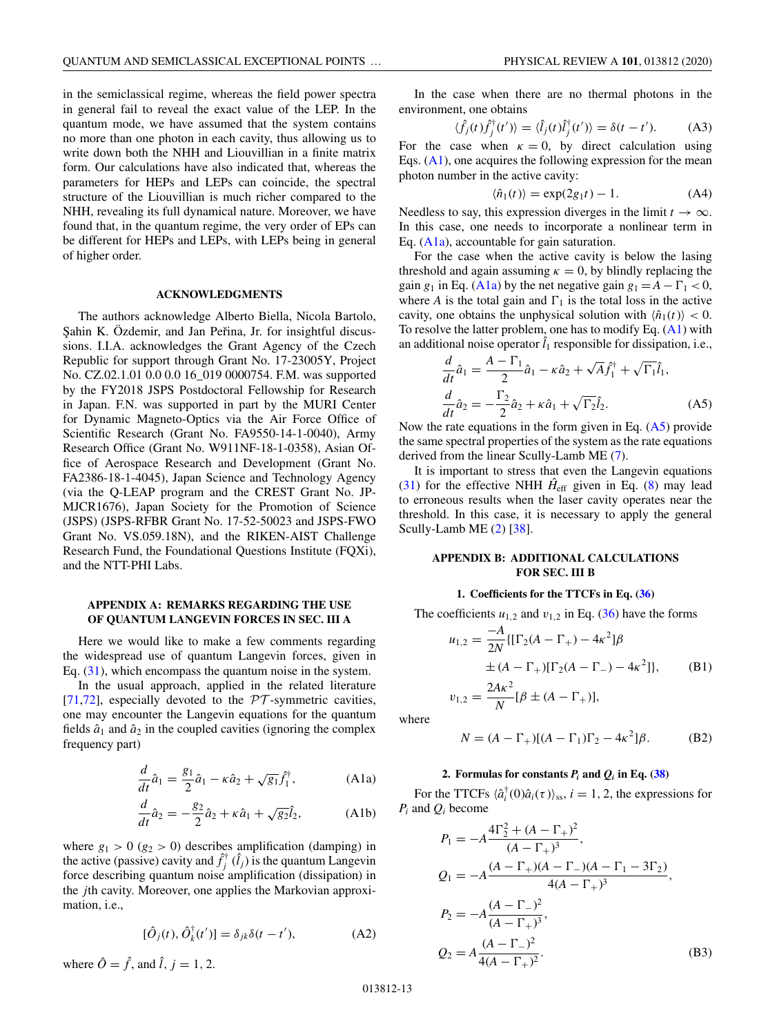<span id="page-12-0"></span>in the semiclassical regime, whereas the field power spectra in general fail to reveal the exact value of the LEP. In the quantum mode, we have assumed that the system contains no more than one photon in each cavity, thus allowing us to write down both the NHH and Liouvillian in a finite matrix form. Our calculations have also indicated that, whereas the parameters for HEPs and LEPs can coincide, the spectral structure of the Liouvillian is much richer compared to the NHH, revealing its full dynamical nature. Moreover, we have found that, in the quantum regime, the very order of EPs can be different for HEPs and LEPs, with LEPs being in general of higher order.

#### **ACKNOWLEDGMENTS**

The authors acknowledge Alberto Biella, Nicola Bartolo, Sahin K. Özdemir, and Jan Peřina, Jr. for insightful discussions. I.I.A. acknowledges the Grant Agency of the Czech Republic for support through Grant No. 17-23005Y, Project No. CZ.02.1.01 0.0 0.0 16\_019 0000754. F.M. was supported by the FY2018 JSPS Postdoctoral Fellowship for Research in Japan. F.N. was supported in part by the MURI Center for Dynamic Magneto-Optics via the Air Force Office of Scientific Research (Grant No. FA9550-14-1-0040), Army Research Office (Grant No. W911NF-18-1-0358), Asian Office of Aerospace Research and Development (Grant No. FA2386-18-1-4045), Japan Science and Technology Agency (via the Q-LEAP program and the CREST Grant No. JP-MJCR1676), Japan Society for the Promotion of Science (JSPS) (JSPS-RFBR Grant No. 17-52-50023 and JSPS-FWO Grant No. VS.059.18N), and the RIKEN-AIST Challenge Research Fund, the Foundational Questions Institute (FQXi), and the NTT-PHI Labs.

## **APPENDIX A: REMARKS REGARDING THE USE OF QUANTUM LANGEVIN FORCES IN SEC. III A**

Here we would like to make a few comments regarding the widespread use of quantum Langevin forces, given in Eq. [\(31\)](#page-4-0), which encompass the quantum noise in the system.

In the usual approach, applied in the related literature [\[71,72\]](#page-16-0), especially devoted to the  $PT$ -symmetric cavities, one may encounter the Langevin equations for the quantum fields  $\hat{a}_1$  and  $\hat{a}_2$  in the coupled cavities (ignoring the complex frequency part)

$$
\frac{d}{dt}\hat{a}_1 = \frac{g_1}{2}\hat{a}_1 - \kappa \hat{a}_2 + \sqrt{g_1} \hat{f}_1^{\dagger},
$$
 (A1a)

$$
\frac{d}{dt}\hat{a}_2 = -\frac{g_2}{2}\hat{a}_2 + \kappa \hat{a}_1 + \sqrt{g_2}\hat{l}_2, \tag{A1b}
$$

where  $g_1 > 0$  ( $g_2 > 0$ ) describes amplification (damping) in the active (passive) cavity and  $\hat{f}^{\dagger}_j$  ( $\hat{l}_j$ ) is the quantum Langevin force describing quantum noise amplification (dissipation) in the *j*th cavity. Moreover, one applies the Markovian approximation, i.e.,

$$
[\hat{O}_j(t), \hat{O}_k^{\dagger}(t')] = \delta_{jk}\delta(t - t'), \tag{A2}
$$

where  $\hat{O} = \hat{f}$ , and  $\hat{l}$ ,  $j = 1, 2$ .

In the case when there are no thermal photons in the environment, one obtains

$$
\langle \hat{f}_j(t)\hat{f}_j^\dagger(t')\rangle = \langle \hat{l}_j(t)\hat{l}_j^\dagger(t')\rangle = \delta(t - t'). \tag{A3}
$$

For the case when  $\kappa = 0$ , by direct calculation using Eqs.  $(A1)$ , one acquires the following expression for the mean photon number in the active cavity:

$$
\langle \hat{n}_1(t) \rangle = \exp(2g_1t) - 1. \tag{A4}
$$

Needless to say, this expression diverges in the limit  $t \to \infty$ . In this case, one needs to incorporate a nonlinear term in Eq. (A1a), accountable for gain saturation.

For the case when the active cavity is below the lasing threshold and again assuming  $\kappa = 0$ , by blindly replacing the gain  $g_1$  in Eq. (A1a) by the net negative gain  $g_1 = A - \Gamma_1 < 0$ , where *A* is the total gain and  $\Gamma_1$  is the total loss in the active cavity, one obtains the unphysical solution with  $\langle \hat{n}_1(t) \rangle < 0$ . To resolve the latter problem, one has to modify Eq.  $(A1)$  with an additional noise operator  $\hat{l}_1$  responsible for dissipation, i.e.,

$$
\frac{d}{dt}\hat{a}_1 = \frac{A - \Gamma_1}{2}\hat{a}_1 - \kappa \hat{a}_2 + \sqrt{A}\hat{f}_1^{\dagger} + \sqrt{\Gamma_1}\hat{l}_1, \n\frac{d}{dt}\hat{a}_2 = -\frac{\Gamma_2}{2}\hat{a}_2 + \kappa \hat{a}_1 + \sqrt{\Gamma_2}\hat{l}_2.
$$
\n(A5)

Now the rate equations in the form given in Eq.  $(A5)$  provide the same spectral properties of the system as the rate equations derived from the linear Scully-Lamb ME [\(7\)](#page-2-0).

It is important to stress that even the Langevin equations [\(31\)](#page-4-0) for the effective NHH  $\hat{H}_{\text{eff}}$  given in Eq. [\(8\)](#page-2-0) may lead to erroneous results when the laser cavity operates near the threshold. In this case, it is necessary to apply the general Scully-Lamb ME [\(2\)](#page-2-0) [\[38\]](#page-15-0).

## **APPENDIX B: ADDITIONAL CALCULATIONS FOR SEC. III B**

## **1. Coefficients for the TTCFs in Eq. [\(36\)](#page-6-0)**

The coefficients  $u_{1,2}$  and  $v_{1,2}$  in Eq. [\(36\)](#page-6-0) have the forms

$$
u_{1,2} = \frac{-A}{2N} \{ [\Gamma_2(A - \Gamma_+) - 4\kappa^2] \beta
$$
  
\n
$$
\pm (A - \Gamma_+) [\Gamma_2(A - \Gamma_-) - 4\kappa^2] \}, \qquad (B1)
$$
  
\n
$$
v_{1,2} = \frac{2A\kappa^2}{N} [\beta \pm (A - \Gamma_+)],
$$

where

$$
N = (A - \Gamma_+)[(A - \Gamma_1)\Gamma_2 - 4\kappa^2]\beta.
$$
 (B2)

## **2.** Formulas for constants  $P_i$  and  $Q_i$  in Eq. [\(38\)](#page-6-0)

For the TTCFs  $\langle \hat{a}_i^{\dagger}(0)\hat{a}_i(\tau) \rangle_{\rm ss}$ ,  $i = 1, 2$ , the expressions for *Pi* and *Qi* become

$$
P_1 = -A \frac{4\Gamma_2^2 + (A - \Gamma_+)^2}{(A - \Gamma_+)^3},
$$
  
\n
$$
Q_1 = -A \frac{(A - \Gamma_+)(A - \Gamma_-)(A - \Gamma_1 - 3\Gamma_2)}{4(A - \Gamma_+)^3},
$$
  
\n
$$
P_2 = -A \frac{(A - \Gamma_-)^2}{(A - \Gamma_+)^3},
$$
  
\n
$$
Q_2 = A \frac{(A - \Gamma_-)^2}{4(A - \Gamma_+)^2}.
$$
 (B3)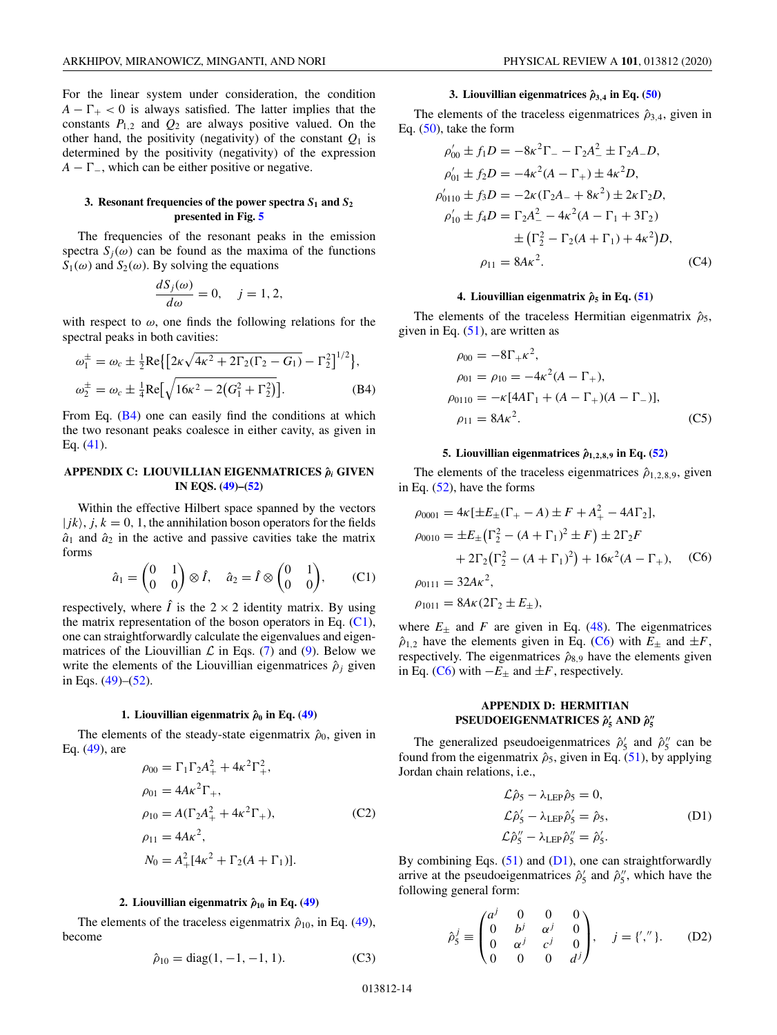<span id="page-13-0"></span>For the linear system under consideration, the condition  $A - \Gamma_+ < 0$  is always satisfied. The latter implies that the constants  $P_{1,2}$  and  $Q_2$  are always positive valued. On the other hand, the positivity (negativity) of the constant  $Q_1$  is determined by the positivity (negativity) of the expression  $A - \Gamma_{-}$ , which can be either positive or negative.

## **3. Resonant frequencies of the power spectra** *S***<sup>1</sup> and** *S***<sup>2</sup> presented in Fig. [5](#page-8-0)**

The frequencies of the resonant peaks in the emission spectra  $S_i(\omega)$  can be found as the maxima of the functions  $S_1(\omega)$  and  $S_2(\omega)$ . By solving the equations

$$
\frac{dS_j(\omega)}{d\omega} = 0, \quad j = 1, 2,
$$

with respect to  $\omega$ , one finds the following relations for the spectral peaks in both cavities:

$$
\omega_1^{\pm} = \omega_c \pm \frac{1}{2} \text{Re} \{ \left[ 2\kappa \sqrt{4\kappa^2 + 2\Gamma_2 (\Gamma_2 - G_1)} - \Gamma_2^2 \right]^{1/2} \},
$$
  

$$
\omega_2^{\pm} = \omega_c \pm \frac{1}{4} \text{Re} \left[ \sqrt{16\kappa^2 - 2(G_1^2 + \Gamma_2^2)} \right].
$$
 (B4)

From Eq. (B4) one can easily find the conditions at which the two resonant peaks coalesce in either cavity, as given in Eq. [\(41\)](#page-7-0).

## **APPENDIX C: LIOUVILLIAN EIGENMATRICES ˆ***ρ<sup>i</sup>* **GIVEN IN EQS. [\(49\)](#page-9-0)–[\(52\)](#page-10-0)**

Within the effective Hilbert space spanned by the vectors  $| jk \rangle$ ,  $j, k = 0, 1$ , the annihilation boson operators for the fields  $\hat{a}_1$  and  $\hat{a}_2$  in the active and passive cavities take the matrix forms

$$
\hat{a}_1 = \begin{pmatrix} 0 & 1 \\ 0 & 0 \end{pmatrix} \otimes \hat{I}, \quad \hat{a}_2 = \hat{I} \otimes \begin{pmatrix} 0 & 1 \\ 0 & 0 \end{pmatrix}, \qquad \text{(C1)}
$$

respectively, where  $\hat{I}$  is the  $2 \times 2$  identity matrix. By using the matrix representation of the boson operators in Eq. (C1), one can straightforwardly calculate the eigenvalues and eigenmatrices of the Liouvillian  $\mathcal L$  in Eqs. [\(7\)](#page-2-0) and [\(9\)](#page-2-0). Below we write the elements of the Liouvillian eigenmatrices  $\hat{\rho}_j$  given in Eqs. [\(49\)](#page-9-0)–[\(52\)](#page-10-0).

## **1.** Liouvillian eigenmatrix  $\hat{\rho}_0$  in Eq. [\(49\)](#page-9-0)

The elements of the steady-state eigenmatrix  $\hat{\rho}_0$ , given in Eq. [\(49\)](#page-9-0), are

$$
\rho_{00} = \Gamma_1 \Gamma_2 A_+^2 + 4\kappa^2 \Gamma_+^2,
$$
  
\n
$$
\rho_{01} = 4A\kappa^2 \Gamma_+,
$$
  
\n
$$
\rho_{10} = A(\Gamma_2 A_+^2 + 4\kappa^2 \Gamma_+),
$$
  
\n
$$
\rho_{11} = 4A\kappa^2,
$$
  
\n
$$
N_0 = A_+^2 [4\kappa^2 + \Gamma_2 (A + \Gamma_1)].
$$
\n(C2)

#### **2.** Liouvillian eigenmatrix  $\hat{\rho}_{10}$  in Eq. [\(49\)](#page-9-0)

The elements of the traceless eigenmatrix  $\hat{\rho}_{10}$ , in Eq. [\(49\)](#page-9-0), become

$$
\hat{\rho}_{10} = \text{diag}(1, -1, -1, 1). \tag{C3}
$$

## **3. Liouvillian eigenmatrices**  $\hat{\rho}_{3,4}$  **in Eq. [\(50\)](#page-9-0)**

The elements of the traceless eigenmatrices  $\hat{\rho}_{3,4}$ , given in Eq.  $(50)$ , take the form

$$
\rho'_{00} \pm f_1 D = -8\kappa^2 \Gamma_- - \Gamma_2 A_-^2 \pm \Gamma_2 A_- D,
$$
  
\n
$$
\rho'_{01} \pm f_2 D = -4\kappa^2 (A - \Gamma_+) \pm 4\kappa^2 D,
$$
  
\n
$$
\rho'_{0110} \pm f_3 D = -2\kappa (\Gamma_2 A_- + 8\kappa^2) \pm 2\kappa \Gamma_2 D,
$$
  
\n
$$
\rho'_{10} \pm f_4 D = \Gamma_2 A_-^2 - 4\kappa^2 (A - \Gamma_1 + 3\Gamma_2)
$$
  
\n
$$
\pm (\Gamma_2^2 - \Gamma_2 (A + \Gamma_1) + 4\kappa^2) D,
$$
  
\n
$$
\rho_{11} = 8A\kappa^2.
$$
 (C4)

#### **4.** Liouvillian eigenmatrix  $\hat{\rho}_5$  in Eq. [\(51\)](#page-9-0)

The elements of the traceless Hermitian eigenmatrix  $\hat{\rho}_5$ , given in Eq.  $(51)$ , are written as

$$
\rho_{00} = -8\Gamma_{+} \kappa^{2},
$$
  
\n
$$
\rho_{01} = \rho_{10} = -4\kappa^{2} (A - \Gamma_{+}),
$$
  
\n
$$
\rho_{0110} = -\kappa [4A\Gamma_{1} + (A - \Gamma_{+})(A - \Gamma_{-})],
$$
  
\n
$$
\rho_{11} = 8A\kappa^{2}.
$$
\n(C5)

## **5.** Liouvillian eigenmatrices  $\hat{\rho}_{1,2,8,9}$  in Eq. [\(52\)](#page-10-0)

The elements of the traceless eigenmatrices  $\hat{\rho}_{1,2,8,9}$ , given in Eq. [\(52\)](#page-10-0), have the forms

$$
\rho_{0001} = 4\kappa [\pm E_{\pm} (\Gamma_{+} - A) \pm F + A_{+}^{2} - 4A\Gamma_{2}],
$$
  
\n
$$
\rho_{0010} = \pm E_{\pm} (\Gamma_{2}^{2} - (A + \Gamma_{1})^{2} \pm F) \pm 2\Gamma_{2}F
$$
  
\n
$$
+ 2\Gamma_{2} (\Gamma_{2}^{2} - (A + \Gamma_{1})^{2}) + 16\kappa^{2} (A - \Gamma_{+}), \quad (C6)
$$
  
\n
$$
\rho_{0111} = 32A\kappa^{2},
$$
  
\n
$$
\rho_{1011} = 8A\kappa (2\Gamma_{2} \pm E_{\pm}),
$$

where  $E_{\pm}$  and *F* are given in Eq. [\(48\)](#page-9-0). The eigenmatrices  $\hat{\rho}_{1,2}$  have the elements given in Eq. (C6) with  $E_{\pm}$  and  $\pm F$ , respectively. The eigenmatrices  $\hat{\rho}_{8,9}$  have the elements given in Eq. (C6) with  $-E_{\pm}$  and  $\pm F$ , respectively.

# **APPENDIX D: HERMITIAN PSEUDOEIGENMATRICES**  $\hat{\rho}'_5$  AND  $\hat{\rho}''_5$

The generalized pseudoeigenmatrices  $\hat{\rho}'_5$  and  $\hat{\rho}''_5$  can be found from the eigenmatrix  $\hat{\rho}_5$ , given in Eq. [\(51\)](#page-9-0), by applying Jordan chain relations, i.e.,

$$
\mathcal{L}\hat{\rho}_5 - \lambda_{\text{LEP}}\hat{\rho}_5 = 0,
$$
  
\n
$$
\mathcal{L}\hat{\rho}_5' - \lambda_{\text{LEP}}\hat{\rho}_5' = \hat{\rho}_5,
$$
  
\n
$$
\mathcal{L}\hat{\rho}_5'' - \lambda_{\text{LEP}}\hat{\rho}_5'' = \hat{\rho}_5'.
$$
\n(D1)

By combining Eqs.  $(51)$  and  $(D1)$ , one can straightforwardly arrive at the pseudoeigenmatrices  $\hat{\rho}'_5$  and  $\hat{\rho}''_5$ , which have the following general form:

$$
\hat{\rho}_5^j \equiv \begin{pmatrix} a^j & 0 & 0 & 0 \\ 0 & b^j & \alpha^j & 0 \\ 0 & \alpha^j & c^j & 0 \\ 0 & 0 & 0 & d^j \end{pmatrix}, \quad j = \{', \text{ }^{\prime\prime}\}.
$$
 (D2)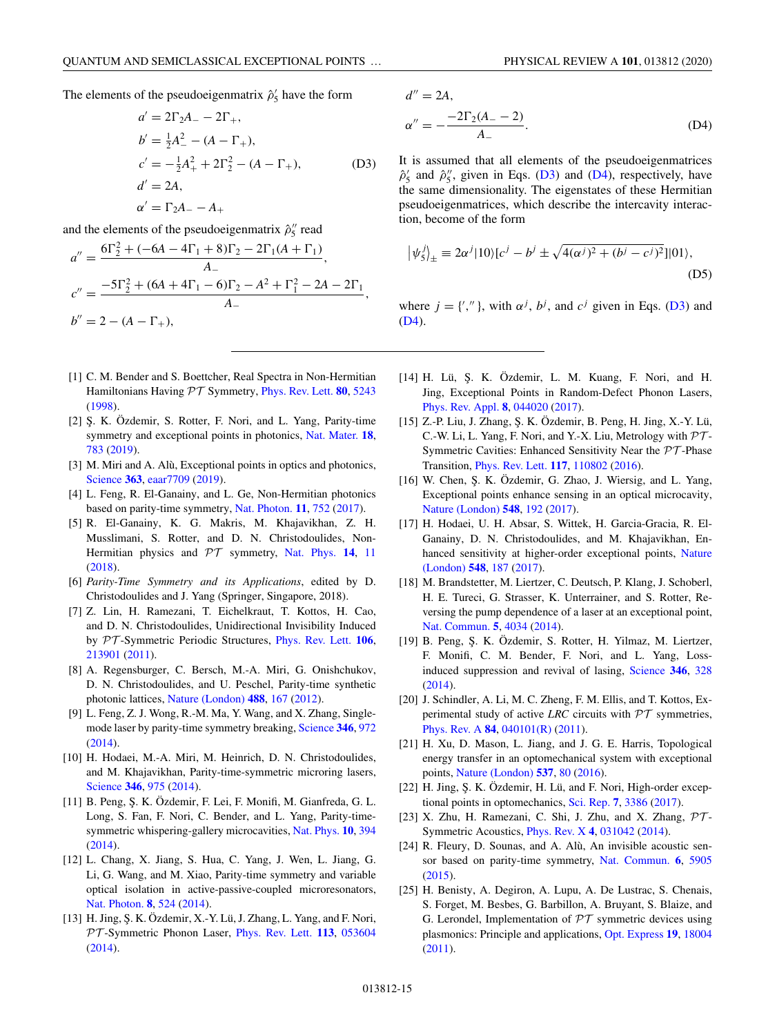<span id="page-14-0"></span>The elements of the pseudoeigenmatrix  $\hat{\rho}'_5$  have the form

$$
a' = 2\Gamma_2 A_- - 2\Gamma_+,
$$
  
\n
$$
b' = \frac{1}{2}A_-^2 - (A - \Gamma_+),
$$
  
\n
$$
c' = -\frac{1}{2}A_+^2 + 2\Gamma_2^2 - (A - \Gamma_+),
$$
  
\n
$$
a' = 2A,
$$
  
\n
$$
\alpha' = \Gamma_2 A_- - A_+
$$
\n(D3)

and the elements of the pseudoeigenmatrix  $\hat{\rho}^{\prime\prime}_5$  read

$$
a'' = \frac{6\Gamma_2^2 + (-6A - 4\Gamma_1 + 8)\Gamma_2 - 2\Gamma_1(A + \Gamma_1)}{A_-},
$$
  
\n
$$
c'' = \frac{-5\Gamma_2^2 + (6A + 4\Gamma_1 - 6)\Gamma_2 - A^2 + \Gamma_1^2 - 2A - 2\Gamma_1}{A_-},
$$
  
\n
$$
b'' = 2 - (A - \Gamma_+),
$$

- [1] C. M. Bender and S. Boettcher, Real Spectra in Non-Hermitian Hamiltonians Having PT Symmetry, [Phys. Rev. Lett.](https://doi.org/10.1103/PhysRevLett.80.5243) **[80](https://doi.org/10.1103/PhysRevLett.80.5243)**, [5243](https://doi.org/10.1103/PhysRevLett.80.5243) [\(1998\)](https://doi.org/10.1103/PhysRevLett.80.5243).
- [2] S. K. Özdemir, S. Rotter, F. Nori, and L. Yang, Parity-time symmetry and exceptional points in photonics, [Nat. Mater.](https://doi.org/10.1038/s41563-019-0304-9) **[18](https://doi.org/10.1038/s41563-019-0304-9)**, [783](https://doi.org/10.1038/s41563-019-0304-9) [\(2019\)](https://doi.org/10.1038/s41563-019-0304-9).
- [3] M. Miri and A. Alù, Exceptional points in optics and photonics, [Science](https://doi.org/10.1126/science.aar7709) **[363](https://doi.org/10.1126/science.aar7709)**, [eaar7709](https://doi.org/10.1126/science.aar7709) [\(2019\)](https://doi.org/10.1126/science.aar7709).
- [4] L. Feng, R. El-Ganainy, and L. Ge, Non-Hermitian photonics based on parity-time symmetry, [Nat. Photon.](https://doi.org/10.1038/s41566-017-0031-1) **[11](https://doi.org/10.1038/s41566-017-0031-1)**, [752](https://doi.org/10.1038/s41566-017-0031-1) [\(2017\)](https://doi.org/10.1038/s41566-017-0031-1).
- [5] R. El-Ganainy, K. G. Makris, M. Khajavikhan, Z. H. Musslimani, S. Rotter, and D. N. Christodoulides, Non-Hermitian physics and PT symmetry, [Nat. Phys.](https://doi.org/10.1038/nphys4323) **[14](https://doi.org/10.1038/nphys4323)**, [11](https://doi.org/10.1038/nphys4323) [\(2018\)](https://doi.org/10.1038/nphys4323).
- [6] *Parity-Time Symmetry and its Applications*, edited by D. Christodoulides and J. Yang (Springer, Singapore, 2018).
- [7] Z. Lin, H. Ramezani, T. Eichelkraut, T. Kottos, H. Cao, and D. N. Christodoulides, Unidirectional Invisibility Induced by PT -Symmetric Periodic Structures, [Phys. Rev. Lett.](https://doi.org/10.1103/PhysRevLett.106.213901) **[106](https://doi.org/10.1103/PhysRevLett.106.213901)**, [213901](https://doi.org/10.1103/PhysRevLett.106.213901) [\(2011\)](https://doi.org/10.1103/PhysRevLett.106.213901).
- [8] A. Regensburger, C. Bersch, M.-A. Miri, G. Onishchukov, D. N. Christodoulides, and U. Peschel, Parity-time synthetic photonic lattices, [Nature \(London\)](https://doi.org/10.1038/nature11298) **[488](https://doi.org/10.1038/nature11298)**, [167](https://doi.org/10.1038/nature11298) [\(2012\)](https://doi.org/10.1038/nature11298).
- [9] L. Feng, Z. J. Wong, R.-M. Ma, Y. Wang, and X. Zhang, Singlemode laser by parity-time symmetry breaking, [Science](https://doi.org/10.1126/science.1258479) **[346](https://doi.org/10.1126/science.1258479)**, [972](https://doi.org/10.1126/science.1258479) [\(2014\)](https://doi.org/10.1126/science.1258479).
- [10] H. Hodaei, M.-A. Miri, M. Heinrich, D. N. Christodoulides, and M. Khajavikhan, Parity-time-symmetric microring lasers, [Science](https://doi.org/10.1126/science.1258480) **[346](https://doi.org/10.1126/science.1258480)**, [975](https://doi.org/10.1126/science.1258480) [\(2014\)](https://doi.org/10.1126/science.1258480).
- [11] B. Peng, Ş. K. Özdemir, F. Lei, F. Monifi, M. Gianfreda, G. L. Long, S. Fan, F. Nori, C. Bender, and L. Yang, Parity-timesymmetric whispering-gallery microcavities, [Nat. Phys.](https://doi.org/10.1038/nphys2927) **[10](https://doi.org/10.1038/nphys2927)**, [394](https://doi.org/10.1038/nphys2927) [\(2014\)](https://doi.org/10.1038/nphys2927).
- [12] L. Chang, X. Jiang, S. Hua, C. Yang, J. Wen, L. Jiang, G. Li, G. Wang, and M. Xiao, Parity-time symmetry and variable optical isolation in active-passive-coupled microresonators, [Nat. Photon.](https://doi.org/10.1038/nphoton.2014.133) **[8](https://doi.org/10.1038/nphoton.2014.133)**, [524](https://doi.org/10.1038/nphoton.2014.133) [\(2014\)](https://doi.org/10.1038/nphoton.2014.133).
- [13] H. Jing, Ş. K. Özdemir, X.-Y. Lü, J. Zhang, L. Yang, and F. Nori, PT -Symmetric Phonon Laser, [Phys. Rev. Lett.](https://doi.org/10.1103/PhysRevLett.113.053604) **[113](https://doi.org/10.1103/PhysRevLett.113.053604)**, [053604](https://doi.org/10.1103/PhysRevLett.113.053604) [\(2014\)](https://doi.org/10.1103/PhysRevLett.113.053604).

$$
d'' = 2A,
$$
  
\n
$$
\alpha'' = -\frac{-2\Gamma_2(A_- - 2)}{A_-}.
$$
\n(D4)

It is assumed that all elements of the pseudoeigenmatrices  $\hat{\rho}'_5$  and  $\hat{\rho}''_5$ , given in Eqs. (D3) and (D4), respectively, have the same dimensionality. The eigenstates of these Hermitian pseudoeigenmatrices, which describe the intercavity interaction, become of the form

$$
|\psi_5^j\rangle_{\pm} \equiv 2\alpha^j |10\rangle [c^j - b^j \pm \sqrt{4(\alpha^j)^2 + (b^j - c^j)^2}]|01\rangle,
$$
\n(D5)

where  $j = \{',''\}$ , with  $\alpha^j$ ,  $b^j$ , and  $c^j$  given in Eqs. (D3) and (D4).

- [14] H. Lü, Ş. K. Özdemir, L. M. Kuang, F. Nori, and H. Jing, Exceptional Points in Random-Defect Phonon Lasers, [Phys. Rev. Appl.](https://doi.org/10.1103/PhysRevApplied.8.044020) **[8](https://doi.org/10.1103/PhysRevApplied.8.044020)**, [044020](https://doi.org/10.1103/PhysRevApplied.8.044020) [\(2017\)](https://doi.org/10.1103/PhysRevApplied.8.044020).
- [15] Z.-P. Liu, J. Zhang, Ş. K. Özdemir, B. Peng, H. Jing, X.-Y. Lü, C.-W. Li, L. Yang, F. Nori, and Y.-X. Liu, Metrology with  $\mathcal{PT}$ -Symmetric Cavities: Enhanced Sensitivity Near the  $\mathcal{PT}$ -Phase Transition, [Phys. Rev. Lett.](https://doi.org/10.1103/PhysRevLett.117.110802) **[117](https://doi.org/10.1103/PhysRevLett.117.110802)**, [110802](https://doi.org/10.1103/PhysRevLett.117.110802) [\(2016\)](https://doi.org/10.1103/PhysRevLett.117.110802).
- [16] W. Chen, S. K. Özdemir, G. Zhao, J. Wiersig, and L. Yang, Exceptional points enhance sensing in an optical microcavity, [Nature \(London\)](https://doi.org/10.1038/nature23281) **[548](https://doi.org/10.1038/nature23281)**, [192](https://doi.org/10.1038/nature23281) [\(2017\)](https://doi.org/10.1038/nature23281).
- [17] H. Hodaei, U. H. Absar, S. Wittek, H. Garcia-Gracia, R. El-Ganainy, D. N. Christodoulides, and M. Khajavikhan, En[hanced sensitivity at higher-order exceptional points,](https://doi.org/10.1038/nature23280) Nature (London) **[548](https://doi.org/10.1038/nature23280)**, [187](https://doi.org/10.1038/nature23280) [\(2017\)](https://doi.org/10.1038/nature23280).
- [18] M. Brandstetter, M. Liertzer, C. Deutsch, P. Klang, J. Schoberl, H. E. Tureci, G. Strasser, K. Unterrainer, and S. Rotter, Reversing the pump dependence of a laser at an exceptional point, [Nat. Commun.](https://doi.org/10.1038/ncomms5034) **[5](https://doi.org/10.1038/ncomms5034)**, [4034](https://doi.org/10.1038/ncomms5034) [\(2014\)](https://doi.org/10.1038/ncomms5034).
- [19] B. Peng, Ş. K. Özdemir, S. Rotter, H. Yilmaz, M. Liertzer, F. Monifi, C. M. Bender, F. Nori, and L. Yang, Lossinduced suppression and revival of lasing, [Science](https://doi.org/10.1126/science.1258004) **[346](https://doi.org/10.1126/science.1258004)**, [328](https://doi.org/10.1126/science.1258004) [\(2014\)](https://doi.org/10.1126/science.1258004).
- [20] J. Schindler, A. Li, M. C. Zheng, F. M. Ellis, and T. Kottos, Experimental study of active *LRC* circuits with  $\mathcal{PT}$  symmetries, [Phys. Rev. A](https://doi.org/10.1103/PhysRevA.84.040101) **[84](https://doi.org/10.1103/PhysRevA.84.040101)**, [040101\(R\)](https://doi.org/10.1103/PhysRevA.84.040101) [\(2011\)](https://doi.org/10.1103/PhysRevA.84.040101).
- [21] H. Xu, D. Mason, L. Jiang, and J. G. E. Harris, Topological energy transfer in an optomechanical system with exceptional points, [Nature \(London\)](https://doi.org/10.1038/nature18604) **[537](https://doi.org/10.1038/nature18604)**, [80](https://doi.org/10.1038/nature18604) [\(2016\)](https://doi.org/10.1038/nature18604).
- [22] H. Jing, Ş. K. Özdemir, H. Lü, and F. Nori, High-order exceptional points in optomechanics, [Sci. Rep.](https://doi.org/10.1038/s41598-017-03546-7) **[7](https://doi.org/10.1038/s41598-017-03546-7)**, [3386](https://doi.org/10.1038/s41598-017-03546-7) [\(2017\)](https://doi.org/10.1038/s41598-017-03546-7).
- [23] X. Zhu, H. Ramezani, C. Shi, J. Zhu, and X. Zhang,  $\mathcal{PT}$ -Symmetric Acoustics, [Phys. Rev. X](https://doi.org/10.1103/PhysRevX.4.031042) **[4](https://doi.org/10.1103/PhysRevX.4.031042)**, [031042](https://doi.org/10.1103/PhysRevX.4.031042) [\(2014\)](https://doi.org/10.1103/PhysRevX.4.031042).
- [24] R. Fleury, D. Sounas, and A. Alù, An invisible acoustic sensor based on parity-time symmetry, [Nat. Commun.](https://doi.org/10.1038/ncomms6905) **[6](https://doi.org/10.1038/ncomms6905)**, [5905](https://doi.org/10.1038/ncomms6905) [\(2015\)](https://doi.org/10.1038/ncomms6905).
- [25] H. Benisty, A. Degiron, A. Lupu, A. De Lustrac, S. Chenais, S. Forget, M. Besbes, G. Barbillon, A. Bruyant, S. Blaize, and G. Lerondel, Implementation of  $\mathcal{PT}$  symmetric devices using plasmonics: Principle and applications, [Opt. Express](https://doi.org/10.1364/OE.19.018004) **[19](https://doi.org/10.1364/OE.19.018004)**, [18004](https://doi.org/10.1364/OE.19.018004) [\(2011\)](https://doi.org/10.1364/OE.19.018004).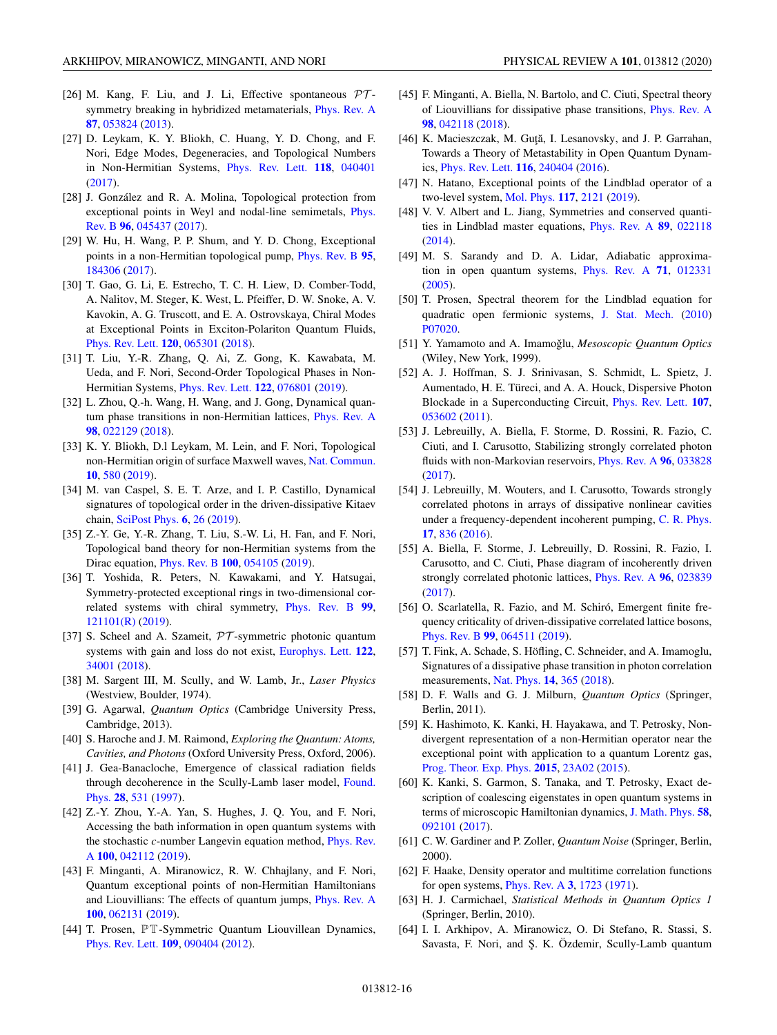- <span id="page-15-0"></span>[26] M. Kang, F. Liu, and J. Li, Effective spontaneous  $\mathcal{PT}$ symmetry breaking in hybridized metamaterials, [Phys. Rev. A](https://doi.org/10.1103/PhysRevA.87.053824) **[87](https://doi.org/10.1103/PhysRevA.87.053824)**, [053824](https://doi.org/10.1103/PhysRevA.87.053824) [\(2013\)](https://doi.org/10.1103/PhysRevA.87.053824).
- [27] D. Leykam, K. Y. Bliokh, C. Huang, Y. D. Chong, and F. Nori, Edge Modes, Degeneracies, and Topological Numbers in Non-Hermitian Systems, [Phys. Rev. Lett.](https://doi.org/10.1103/PhysRevLett.118.040401) **[118](https://doi.org/10.1103/PhysRevLett.118.040401)**, [040401](https://doi.org/10.1103/PhysRevLett.118.040401) [\(2017\)](https://doi.org/10.1103/PhysRevLett.118.040401).
- [28] J. González and R. A. Molina, Topological protection from [exceptional points in Weyl and nodal-line semimetals,](https://doi.org/10.1103/PhysRevB.96.045437) Phys. Rev. B **[96](https://doi.org/10.1103/PhysRevB.96.045437)**, [045437](https://doi.org/10.1103/PhysRevB.96.045437) [\(2017\)](https://doi.org/10.1103/PhysRevB.96.045437).
- [29] W. Hu, H. Wang, P. P. Shum, and Y. D. Chong, Exceptional points in a non-Hermitian topological pump, [Phys. Rev. B](https://doi.org/10.1103/PhysRevB.95.184306) **[95](https://doi.org/10.1103/PhysRevB.95.184306)**, [184306](https://doi.org/10.1103/PhysRevB.95.184306) [\(2017\)](https://doi.org/10.1103/PhysRevB.95.184306).
- [30] T. Gao, G. Li, E. Estrecho, T. C. H. Liew, D. Comber-Todd, A. Nalitov, M. Steger, K. West, L. Pfeiffer, D. W. Snoke, A. V. Kavokin, A. G. Truscott, and E. A. Ostrovskaya, Chiral Modes at Exceptional Points in Exciton-Polariton Quantum Fluids, [Phys. Rev. Lett.](https://doi.org/10.1103/PhysRevLett.120.065301) **[120](https://doi.org/10.1103/PhysRevLett.120.065301)**, [065301](https://doi.org/10.1103/PhysRevLett.120.065301) [\(2018\)](https://doi.org/10.1103/PhysRevLett.120.065301).
- [31] T. Liu, Y.-R. Zhang, Q. Ai, Z. Gong, K. Kawabata, M. Ueda, and F. Nori, Second-Order Topological Phases in Non-Hermitian Systems, [Phys. Rev. Lett.](https://doi.org/10.1103/PhysRevLett.122.076801) **[122](https://doi.org/10.1103/PhysRevLett.122.076801)**, [076801](https://doi.org/10.1103/PhysRevLett.122.076801) [\(2019\)](https://doi.org/10.1103/PhysRevLett.122.076801).
- [32] L. Zhou, Q.-h. Wang, H. Wang, and J. Gong, Dynamical quantum phase transitions in non-Hermitian lattices, [Phys. Rev. A](https://doi.org/10.1103/PhysRevA.98.022129) **[98](https://doi.org/10.1103/PhysRevA.98.022129)**, [022129](https://doi.org/10.1103/PhysRevA.98.022129) [\(2018\)](https://doi.org/10.1103/PhysRevA.98.022129).
- [33] K. Y. Bliokh, D.l Leykam, M. Lein, and F. Nori, Topological non-Hermitian origin of surface Maxwell waves, [Nat. Commun.](https://doi.org/10.1038/s41467-019-08397-6) **[10](https://doi.org/10.1038/s41467-019-08397-6)**, [580](https://doi.org/10.1038/s41467-019-08397-6) [\(2019\)](https://doi.org/10.1038/s41467-019-08397-6).
- [34] M. van Caspel, S. E. T. Arze, and I. P. Castillo, Dynamical signatures of topological order in the driven-dissipative Kitaev chain, [SciPost Phys.](https://doi.org/10.21468/SciPostPhys.6.2.026) **[6](https://doi.org/10.21468/SciPostPhys.6.2.026)**, [26](https://doi.org/10.21468/SciPostPhys.6.2.026) [\(2019\)](https://doi.org/10.21468/SciPostPhys.6.2.026).
- [35] Z.-Y. Ge, Y.-R. Zhang, T. Liu, S.-W. Li, H. Fan, and F. Nori, Topological band theory for non-Hermitian systems from the Dirac equation, [Phys. Rev. B](https://doi.org/10.1103/PhysRevB.100.054105) **[100](https://doi.org/10.1103/PhysRevB.100.054105)**, [054105](https://doi.org/10.1103/PhysRevB.100.054105) [\(2019\)](https://doi.org/10.1103/PhysRevB.100.054105).
- [36] T. Yoshida, R. Peters, N. Kawakami, and Y. Hatsugai, Symmetry-protected exceptional rings in two-dimensional correlated systems with chiral symmetry, [Phys. Rev. B](https://doi.org/10.1103/PhysRevB.99.121101) **[99](https://doi.org/10.1103/PhysRevB.99.121101)**, [121101\(R\)](https://doi.org/10.1103/PhysRevB.99.121101) [\(2019\)](https://doi.org/10.1103/PhysRevB.99.121101).
- [37] S. Scheel and A. Szameit,  $PT$ -symmetric photonic quantum systems with gain and loss do not exist, [Europhys. Lett.](https://doi.org/10.1209/0295-5075/122/34001) **[122](https://doi.org/10.1209/0295-5075/122/34001)**, [34001](https://doi.org/10.1209/0295-5075/122/34001) [\(2018\)](https://doi.org/10.1209/0295-5075/122/34001).
- [38] M. Sargent III, M. Scully, and W. Lamb, Jr., *Laser Physics* (Westview, Boulder, 1974).
- [39] G. Agarwal, *Quantum Optics* (Cambridge University Press, Cambridge, 2013).
- [40] S. Haroche and J. M. Raimond, *Exploring the Quantum: Atoms, Cavities, and Photons* (Oxford University Press, Oxford, 2006).
- [41] J. Gea-Banacloche, Emergence of classical radiation fields [through decoherence in the Scully-Lamb laser model,](https://doi.org/10.1023/A:1018729904161) Found. Phys. **[28](https://doi.org/10.1023/A:1018729904161)**, [531](https://doi.org/10.1023/A:1018729904161) [\(1997\)](https://doi.org/10.1023/A:1018729904161).
- [42] Z.-Y. Zhou, Y.-A. Yan, S. Hughes, J. Q. You, and F. Nori, Accessing the bath information in open quantum systems with the stochastic *c*[-number Langevin equation method,](https://doi.org/10.1103/PhysRevA.100.042112) Phys. Rev. A **[100](https://doi.org/10.1103/PhysRevA.100.042112)**, [042112](https://doi.org/10.1103/PhysRevA.100.042112) [\(2019\)](https://doi.org/10.1103/PhysRevA.100.042112).
- [43] F. Minganti, A. Miranowicz, R. W. Chhajlany, and F. Nori, Quantum exceptional points of non-Hermitian Hamiltonians and Liouvillians: The effects of quantum jumps, [Phys. Rev. A](https://doi.org/10.1103/PhysRevA.100.062131) **[100](https://doi.org/10.1103/PhysRevA.100.062131)**, [062131](https://doi.org/10.1103/PhysRevA.100.062131) [\(2019\)](https://doi.org/10.1103/PhysRevA.100.062131).
- [44] T. Prosen, PT-Symmetric Quantum Liouvillean Dynamics, [Phys. Rev. Lett.](https://doi.org/10.1103/PhysRevLett.109.090404) **[109](https://doi.org/10.1103/PhysRevLett.109.090404)**, [090404](https://doi.org/10.1103/PhysRevLett.109.090404) [\(2012\)](https://doi.org/10.1103/PhysRevLett.109.090404).
- [45] F. Minganti, A. Biella, N. Bartolo, and C. Ciuti, Spectral theory of Liouvillians for dissipative phase transitions, [Phys. Rev. A](https://doi.org/10.1103/PhysRevA.98.042118) **[98](https://doi.org/10.1103/PhysRevA.98.042118)**, [042118](https://doi.org/10.1103/PhysRevA.98.042118) [\(2018\)](https://doi.org/10.1103/PhysRevA.98.042118).
- [46] K. Macieszczak, M. Guță, I. Lesanovsky, and J. P. Garrahan, Towards a Theory of Metastability in Open Quantum Dynamics, [Phys. Rev. Lett.](https://doi.org/10.1103/PhysRevLett.116.240404) **[116](https://doi.org/10.1103/PhysRevLett.116.240404)**, [240404](https://doi.org/10.1103/PhysRevLett.116.240404) [\(2016\)](https://doi.org/10.1103/PhysRevLett.116.240404).
- [47] N. Hatano, Exceptional points of the Lindblad operator of a two-level system, [Mol. Phys.](https://doi.org/10.1080/00268976.2019.1593535) **[117](https://doi.org/10.1080/00268976.2019.1593535)**, [2121](https://doi.org/10.1080/00268976.2019.1593535) [\(2019\)](https://doi.org/10.1080/00268976.2019.1593535).
- [48] V. V. Albert and L. Jiang, Symmetries and conserved quantities in Lindblad master equations, [Phys. Rev. A](https://doi.org/10.1103/PhysRevA.89.022118) **[89](https://doi.org/10.1103/PhysRevA.89.022118)**, [022118](https://doi.org/10.1103/PhysRevA.89.022118) [\(2014\)](https://doi.org/10.1103/PhysRevA.89.022118).
- [49] M. S. Sarandy and D. A. Lidar, Adiabatic approximation in open quantum systems, [Phys. Rev. A](https://doi.org/10.1103/PhysRevA.71.012331) **[71](https://doi.org/10.1103/PhysRevA.71.012331)**, [012331](https://doi.org/10.1103/PhysRevA.71.012331) [\(2005\)](https://doi.org/10.1103/PhysRevA.71.012331).
- [50] T. Prosen, Spectral theorem for the Lindblad equation for quadratic open fermionic systems, [J. Stat. Mech.](https://doi.org/10.1088/1742-5468/2010/07/P07020) [\(2010\)](https://doi.org/10.1088/1742-5468/2010/07/P07020) [P07020.](https://doi.org/10.1088/1742-5468/2010/07/P07020)
- [51] Y. Yamamoto and A. Imamoğlu, Mesoscopic Quantum Optics (Wiley, New York, 1999).
- [52] A. J. Hoffman, S. J. Srinivasan, S. Schmidt, L. Spietz, J. Aumentado, H. E. Türeci, and A. A. Houck, Dispersive Photon Blockade in a Superconducting Circuit, [Phys. Rev. Lett.](https://doi.org/10.1103/PhysRevLett.107.053602) **[107](https://doi.org/10.1103/PhysRevLett.107.053602)**, [053602](https://doi.org/10.1103/PhysRevLett.107.053602) [\(2011\)](https://doi.org/10.1103/PhysRevLett.107.053602).
- [53] J. Lebreuilly, A. Biella, F. Storme, D. Rossini, R. Fazio, C. Ciuti, and I. Carusotto, Stabilizing strongly correlated photon fluids with non-Markovian reservoirs, [Phys. Rev. A](https://doi.org/10.1103/PhysRevA.96.033828) **[96](https://doi.org/10.1103/PhysRevA.96.033828)**, [033828](https://doi.org/10.1103/PhysRevA.96.033828) [\(2017\)](https://doi.org/10.1103/PhysRevA.96.033828).
- [54] J. Lebreuilly, M. Wouters, and I. Carusotto, Towards strongly correlated photons in arrays of dissipative nonlinear cavities under a frequency-dependent incoherent pumping, [C. R. Phys.](https://doi.org/10.1016/j.crhy.2016.07.001) **[17](https://doi.org/10.1016/j.crhy.2016.07.001)**, [836](https://doi.org/10.1016/j.crhy.2016.07.001) [\(2016\)](https://doi.org/10.1016/j.crhy.2016.07.001).
- [55] A. Biella, F. Storme, J. Lebreuilly, D. Rossini, R. Fazio, I. Carusotto, and C. Ciuti, Phase diagram of incoherently driven strongly correlated photonic lattices, [Phys. Rev. A](https://doi.org/10.1103/PhysRevA.96.023839) **[96](https://doi.org/10.1103/PhysRevA.96.023839)**, [023839](https://doi.org/10.1103/PhysRevA.96.023839) [\(2017\)](https://doi.org/10.1103/PhysRevA.96.023839).
- [56] O. Scarlatella, R. Fazio, and M. Schiró, Emergent finite frequency criticality of driven-dissipative correlated lattice bosons, [Phys. Rev. B](https://doi.org/10.1103/PhysRevB.99.064511) **[99](https://doi.org/10.1103/PhysRevB.99.064511)**, [064511](https://doi.org/10.1103/PhysRevB.99.064511) [\(2019\)](https://doi.org/10.1103/PhysRevB.99.064511).
- [57] T. Fink, A. Schade, S. Höfling, C. Schneider, and A. Imamoglu, Signatures of a dissipative phase transition in photon correlation measurements, [Nat. Phys.](https://doi.org/10.1038/s41567-017-0020-9) **[14](https://doi.org/10.1038/s41567-017-0020-9)**, [365](https://doi.org/10.1038/s41567-017-0020-9) [\(2018\)](https://doi.org/10.1038/s41567-017-0020-9).
- [58] D. F. Walls and G. J. Milburn, *Quantum Optics* (Springer, Berlin, 2011).
- [59] K. Hashimoto, K. Kanki, H. Hayakawa, and T. Petrosky, Nondivergent representation of a non-Hermitian operator near the exceptional point with application to a quantum Lorentz gas, [Prog. Theor. Exp. Phys.](https://doi.org/10.1093/ptep/ptu183) **[2015](https://doi.org/10.1093/ptep/ptu183)**, [23A02](https://doi.org/10.1093/ptep/ptu183) [\(2015\)](https://doi.org/10.1093/ptep/ptu183).
- [60] K. Kanki, S. Garmon, S. Tanaka, and T. Petrosky, Exact description of coalescing eigenstates in open quantum systems in terms of microscopic Hamiltonian dynamics, [J. Math. Phys.](https://doi.org/10.1063/1.5002689) **[58](https://doi.org/10.1063/1.5002689)**, [092101](https://doi.org/10.1063/1.5002689) [\(2017\)](https://doi.org/10.1063/1.5002689).
- [61] C. W. Gardiner and P. Zoller, *Quantum Noise* (Springer, Berlin, 2000).
- [62] F. Haake, Density operator and multitime correlation functions for open systems, [Phys. Rev. A](https://doi.org/10.1103/PhysRevA.3.1723) **[3](https://doi.org/10.1103/PhysRevA.3.1723)**, [1723](https://doi.org/10.1103/PhysRevA.3.1723) [\(1971\)](https://doi.org/10.1103/PhysRevA.3.1723).
- [63] H. J. Carmichael, *Statistical Methods in Quantum Optics 1* (Springer, Berlin, 2010).
- [64] I. I. Arkhipov, A. Miranowicz, O. Di Stefano, R. Stassi, S. Savasta, F. Nori, and Ş. K. Özdemir, Scully-Lamb quantum